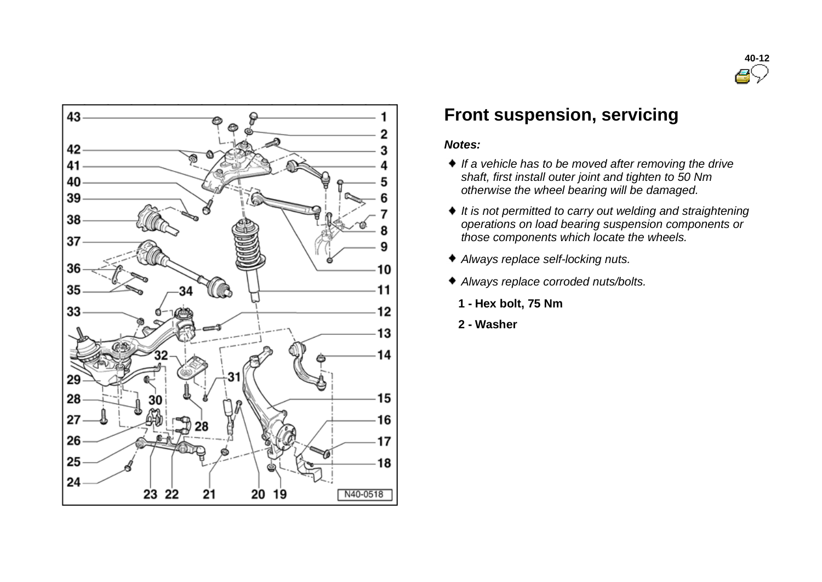



## **Front suspension, servicing**

#### *Notes:*

- *If a vehicle has to be moved after removing the drive shaft, first install outer joint and tighten to 50 Nm otherwise the wheel bearing will be damaged.*
- *It is not permitted to carry out welding and straightening operations on load bearing suspension components or those components which locate the wheels.*
- *Always replace self-locking nuts.*
- *Always replace corroded nuts/bolts.*
	- **1 - Hex bolt, 75 Nm**
- **2 - Washer**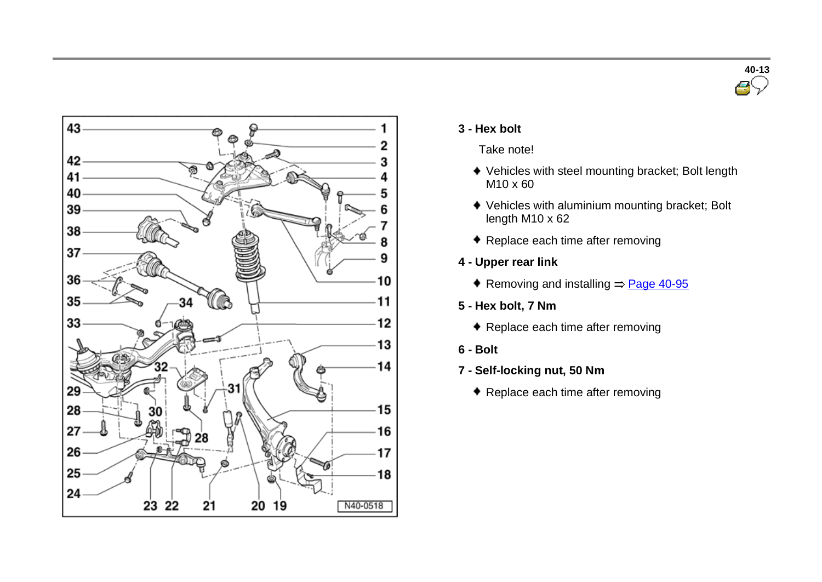



#### **3 - Hex bolt**

Take note!

- Vehicles with steel mounting bracket; Bolt length M10 x 60
- Vehicles with aluminium mounting bracket; Bolt length M10 x 62
- ◆ Replace each time after removing
- **4 - Upper rear link**
	- Removing and installing  $=$  Page 40-95
- **5 - Hex bolt, 7 Nm**
	- ◆ Replace each time after removing
- **6 - Bolt**
- **7 - Self-locking nut, 50 Nm**
	- ◆ Replace each time after removing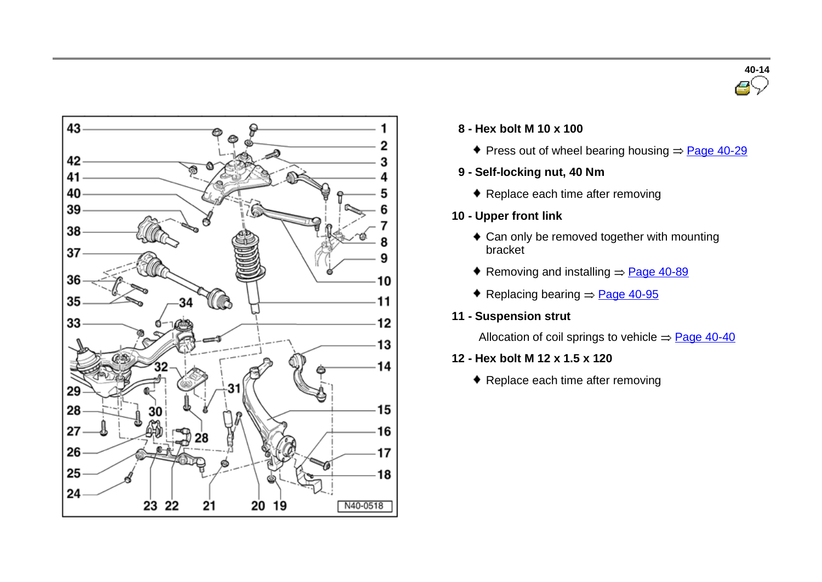



#### **8 - Hex bolt <sup>M</sup> <sup>10</sup> <sup>x</sup> <sup>100</sup>**

- Press out of wheel bearing housing  $\Rightarrow$  Page 40-29
- **9 - Self-locking nut, 40 Nm**
	- ◆ Replace each time after removing
- **10 - Upper front link**
	- Can only be removed together with mounting bracket
	- Removing and installing  $=$  Page 40-89
	- Replacing bearing  $=$  Page 40-95
- **11 - Suspension strut**

Allocation of coil springs to vehicle  $\Rightarrow$  Page 40-40

- **12 - Hex bolt M 12 x 1.5 x 120**
	- ◆ Replace each time after removing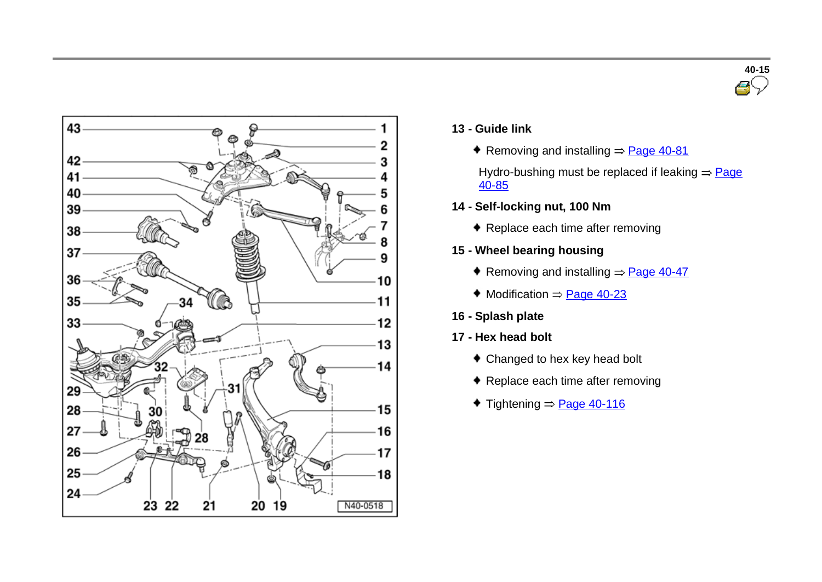



- **13 - Guide link**
	- Removing and installing  $=$  Page 40-81

Hydro-bushing must be replaced if leaking  $=$  Page 40-85

- **14 - Self-locking nut, 100 Nm**
	- ◆ Replace each time after removing
- **15 - Wheel bearing housing**
	- Removing and installing  $=$  Page 40-47
	- $\bullet$  Modification  $=$  Page 40-23
- **16 - Splash plate**
- **17 - Hex head bolt**
	- Changed to hex key head bolt
	- ◆ Replace each time after removing
	- $\text{Tightening} = \text{Page } 40 116$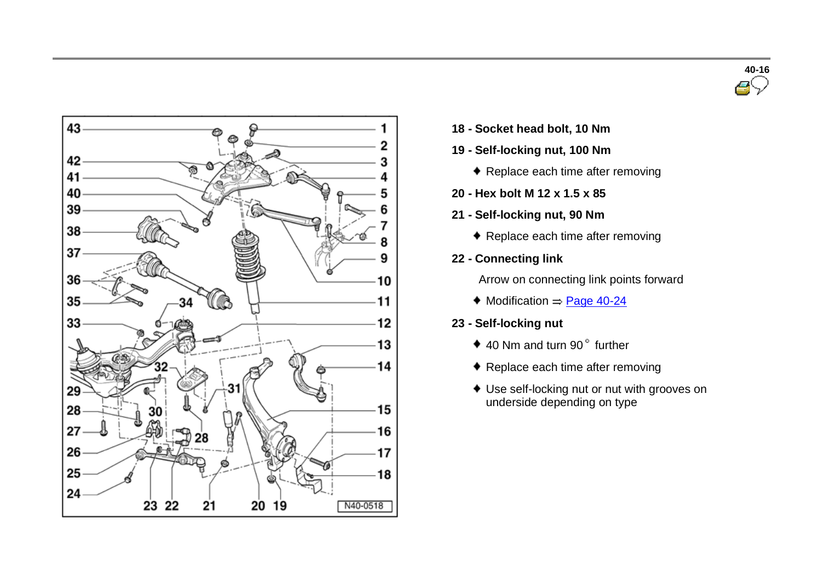



- **18 - Socket head bolt, <sup>10</sup> Nm**
- **19 - Self-locking nut, 100 Nm**
	- ◆ Replace each time after removing
- **20 - Hex bolt M 12 x 1.5 x 85**
- **21 - Self-locking nut, 90 Nm**
	- ◆ Replace each time after removing
- **22 - Connecting link**

Arrow on connecting link points forward

- $\blacklozenge$  Modification  $\Rightarrow$  Page 40-24
- **23 - Self-locking nut**
	- $\bullet$  40 Nm and turn 90 $\degree$  further
	- ◆ Replace each time after removing
	- Use self-locking nut or nut with grooves on underside depending on type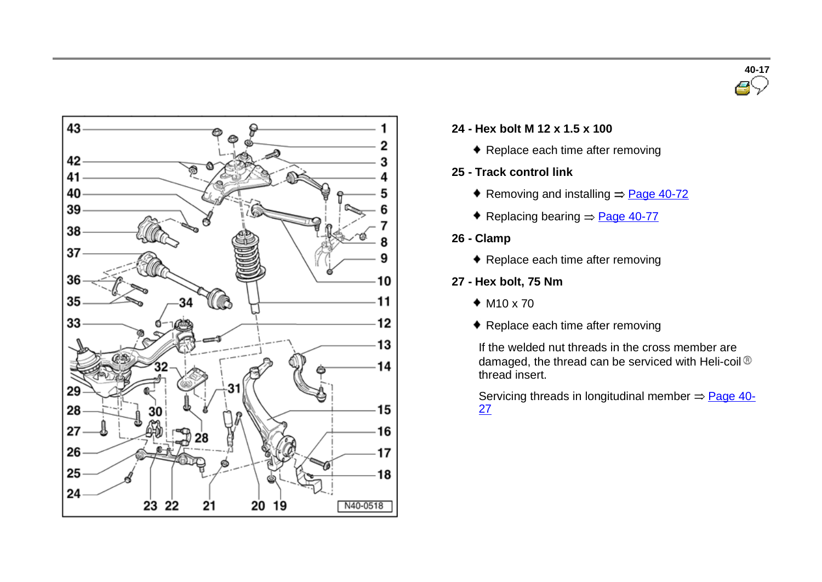



#### **24 - Hex bolt <sup>M</sup> <sup>12</sup> <sup>x</sup> 1.5 <sup>x</sup> <sup>100</sup>**

- ◆ Replace each time after removing
- **25 - Track control link**
	- Removing and installing  $\Rightarrow$  Page 40-72
	- Replacing bearing  $\Rightarrow$  Page 40-77
- **26 - Clamp**
	- ◆ Replace each time after removing
- **27 - Hex bolt, 75 Nm**
	- $*$  M<sub>10</sub> x 70
	- ◆ Replace each time after removing

If the welded nut threads in the cross member are damaged, the thread can be serviced with Heli-coil® thread insert.

Servicing threads in longitudinal member  $\Rightarrow$  Page 40-27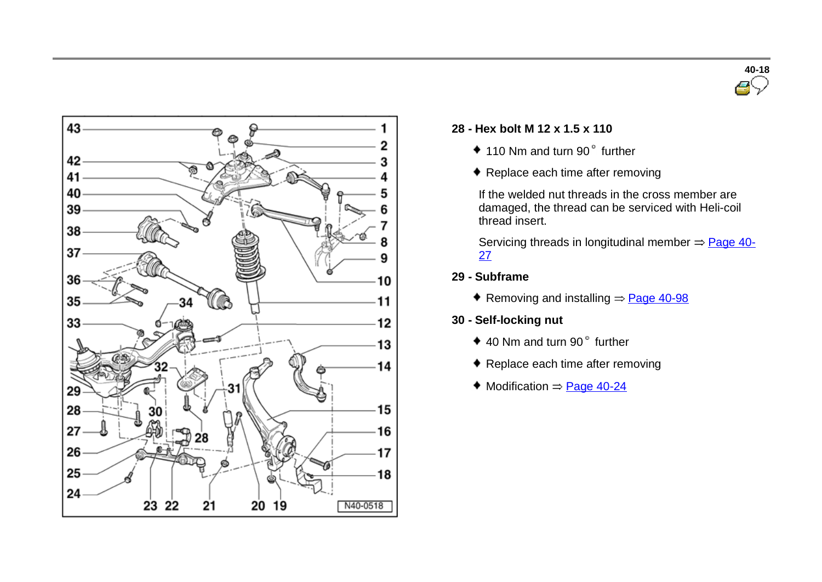



#### **28 - Hex bolt <sup>M</sup> <sup>12</sup> <sup>x</sup> 1.5 <sup>x</sup> <sup>110</sup>**

- $*$  110 Nm and turn 90 $"$  further
- ◆ Replace each time after removing

If the welded nut threads in the cross member are damaged, the thread can be serviced with Heli-coil thread insert.

Servicing threads in longitudinal member  $\Rightarrow$  Page 40-27

- **29 - Subframe**
	- Removing and installing  $=$  Page 40-98
- **30 - Self-locking nut**
	- $\bullet$  40 Nm and turn 90 $\degree$  further
	- ◆ Replace each time after removing
	- $\blacklozenge$  Modification  $\Rightarrow$  Page 40-24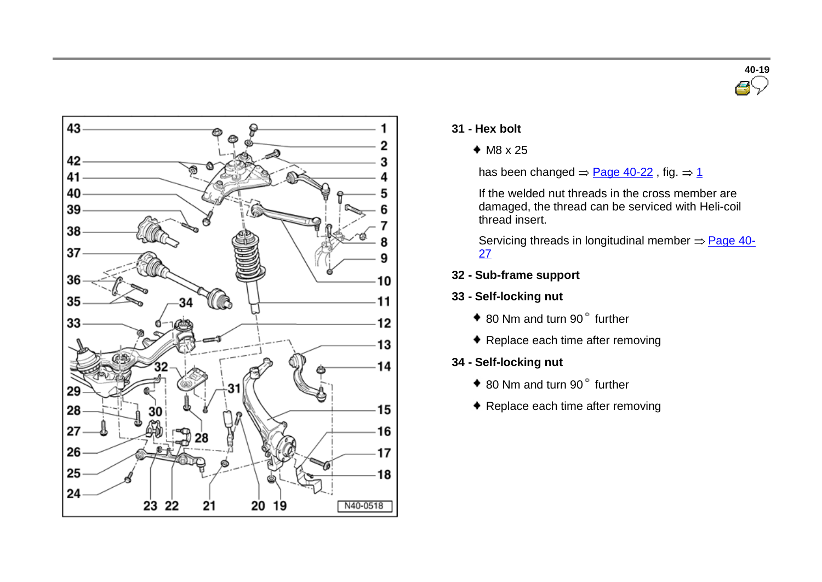



- **31 - Hex bolt**
	- $M8 \times 25$

has been changed  $=$  Page 40-22, fig.  $=$  1

If the welded nut threads in the cross member are damaged, the thread can be serviced with Heli-coil thread insert.

Servicing threads in longitudinal member  $\Rightarrow$  Page 40-27

- **32 - Sub-frame support**
- **33 - Self-locking nut**
	- ◆ 80 Nm and turn 90° further
	- ◆ Replace each time after removing
- **34 - Self-locking nut**
	- ◆ 80 Nm and turn 90° further
	- ◆ Replace each time after removing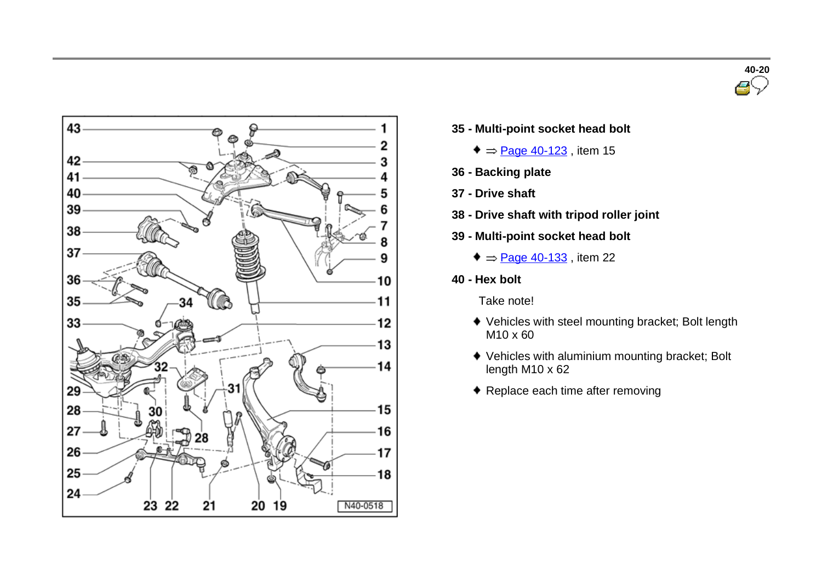



- **35 - Multi-point socket head bolt**
	- $\bullet$  = Page 40-123, item 15
- **36 - Backing plate**
- **37 - Drive shaft**
- **38 - Drive shaft with tripod roller joint**
- **39 - Multi-point socket head bolt**
	- $\bullet$  = Page 40-133, item 22
- **40 - Hex bolt**
	- Take note!
	- Vehicles with steel mounting bracket; Bolt length M10 x 60
	- Vehicles with aluminium mounting bracket; Bolt length M10 x 62
	- ◆ Replace each time after removing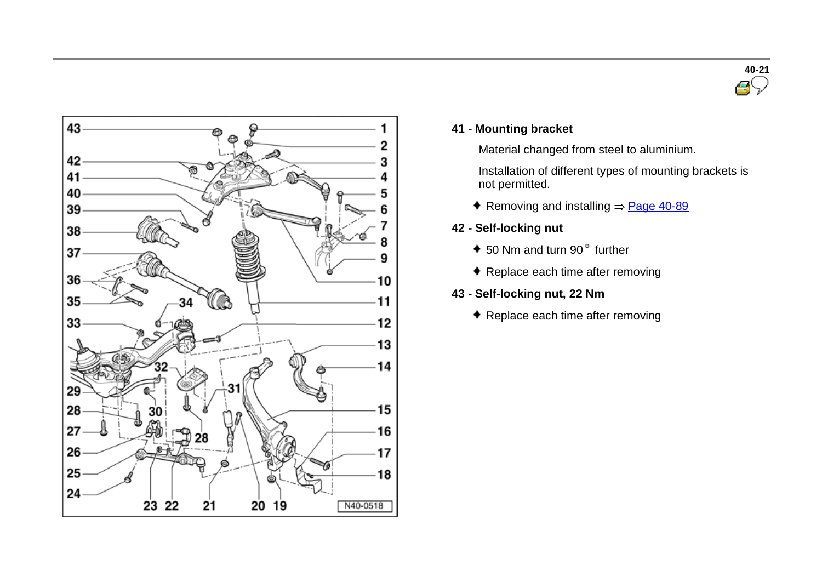



#### **41 - Mounting bracket**

Material changed from steel to aluminium.

Installation of different types of mounting brackets is not permitted.

- Removing and installing  $=$  Page 40-89
- **42 - Self-locking nut**
	- $\bullet$  50 Nm and turn 90 $^{\circ}$  further
	- ◆ Replace each time after removing
- **43 - Self-locking nut, 22 Nm**
	- ◆ Replace each time after removing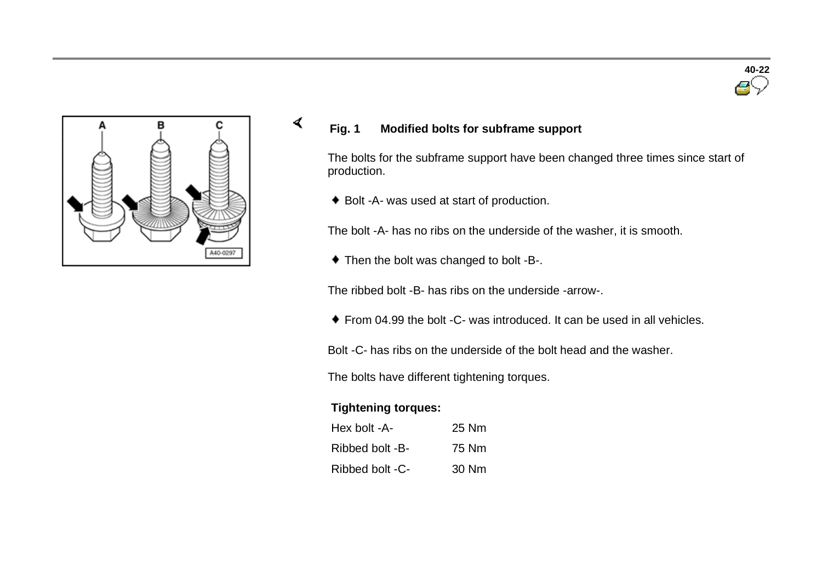



## **Fig. 1 Modified bolts for subframe support**

The bolts for the subframe support have been changed three times since start of production.

◆ Bolt -A- was used at start of production.

The bolt -A- has no ribs on the underside of the washer, it is smooth.

 $\bullet$  Then the bolt was changed to bolt -B-.

The ribbed bolt -B- has ribs on the underside -arrow-.

From 04.99 the bolt -C- was introduced. It can be used in all vehicles.

Bolt -C- has ribs on the underside of the bolt head and the washer.

The bolts have different tightening torques.

#### **Tightening torques:**

 $\sigma$ 

| Hex bolt -A-    | 25 Nm |
|-----------------|-------|
| Ribbed bolt -B- | 75 Nm |
| Ribbed bolt -C- | 30 Nm |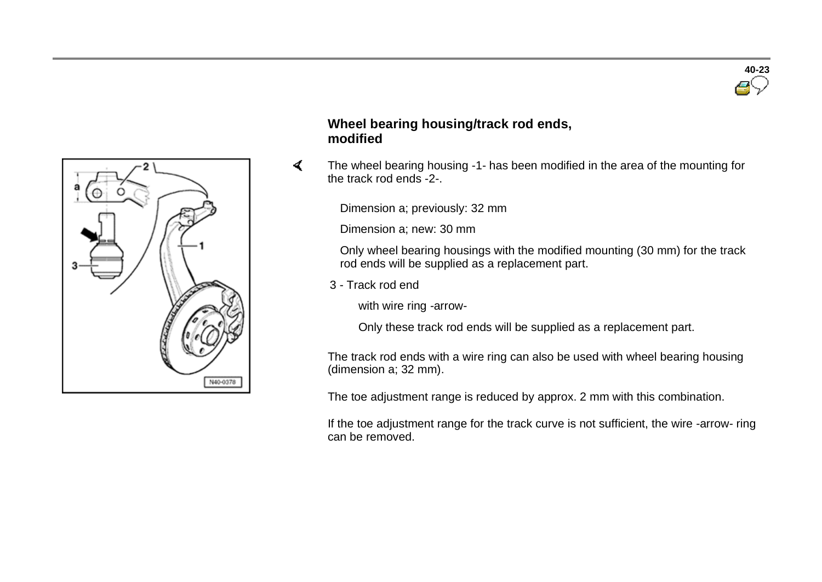

## **Wheel bearing housing/track rod ends, modified**

 $\blacktriangleleft$  The wheel bearing housing -1- has been modified in the area of the mounting for the track rod ends -2-.

Dimension a; previously: 32 mm

Dimension a; new: 30 mm

 Only wheel bearing housings with the modified mounting (30 mm) for the track rod ends will be supplied as a replacement part.

3 - Track rod end

with wire ring -arrow-

Only these track rod ends will be supplied as a replacement part.

The track rod ends with a wire ring can also be used with wheel bearing housing (dimension a; 32 mm).

The toe adjustment range is reduced by approx. 2 mm with this combination.

If the toe adjustment range for the track curve is not sufficient, the wire -arrow- ring can be removed.

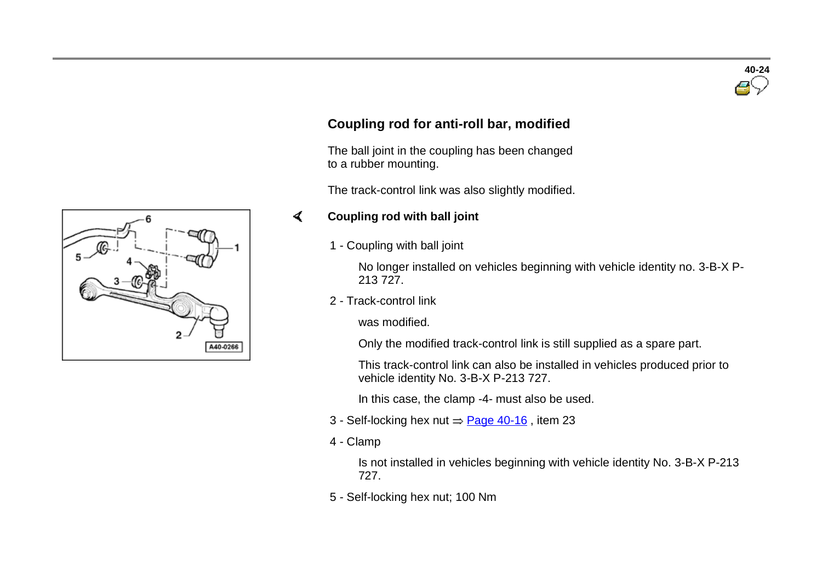

## **Coupling rod for anti-roll bar, modified**

 The ball joint in the coupling has been changed to a rubber mounting.

The track-control link was also slightly modified.

#### **Coupling rod with ball joint**   $\mathcal{L}$

1 - Coupling with ball joint

No longer installed on vehicles beginning with vehicle identity no. 3-B-X P-213 727.

2 - Track-control link

was modified.

Only the modified track-control link is still supplied as a spare part.

This track-control link can also be installed in vehicles produced prior to vehicle identity No. 3-B-X P-213 727.

In this case, the clamp -4- must also be used.

- 3 Self-locking hex nut  $\Rightarrow$  Page 40-16, item 23
- 4 Clamp

Is not installed in vehicles beginning with vehicle identity No. 3-B-X P-213 727.

5 - Self-locking hex nut; 100 Nm

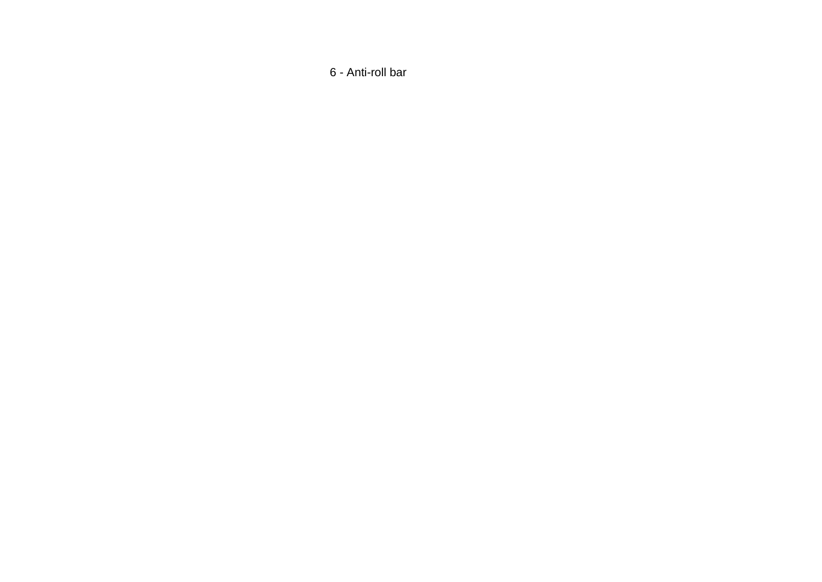- Anti-roll bar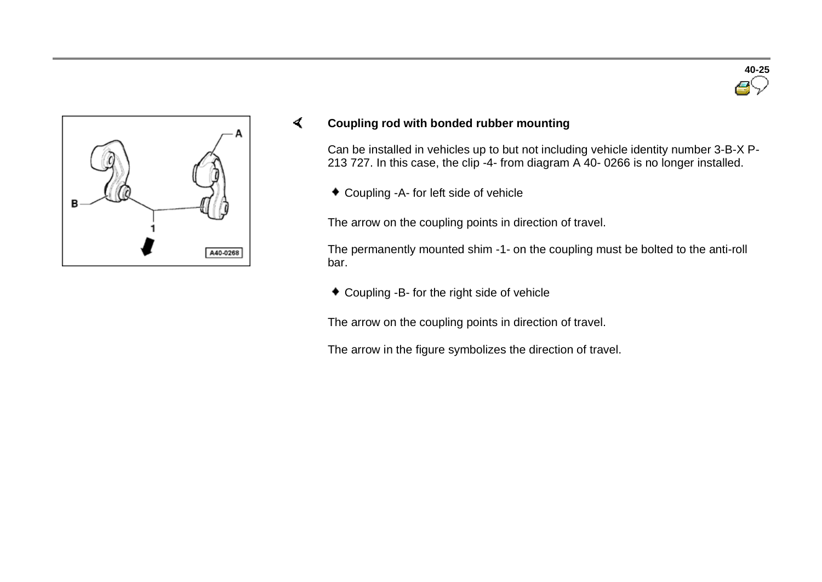



#### $\sigma$ **Coupling rod with bonded rubber mounting**

Can be installed in vehicles up to but not including vehicle identity number 3-B-X P-213 727. In this case, the clip -4- from diagram A 40- 0266 is no longer installed.

Coupling -A- for left side of vehicle

The arrow on the coupling points in direction of travel.

The permanently mounted shim -1- on the coupling must be bolted to the anti-roll bar.

Coupling -B- for the right side of vehicle

The arrow on the coupling points in direction of travel.

The arrow in the figure symbolizes the direction of travel.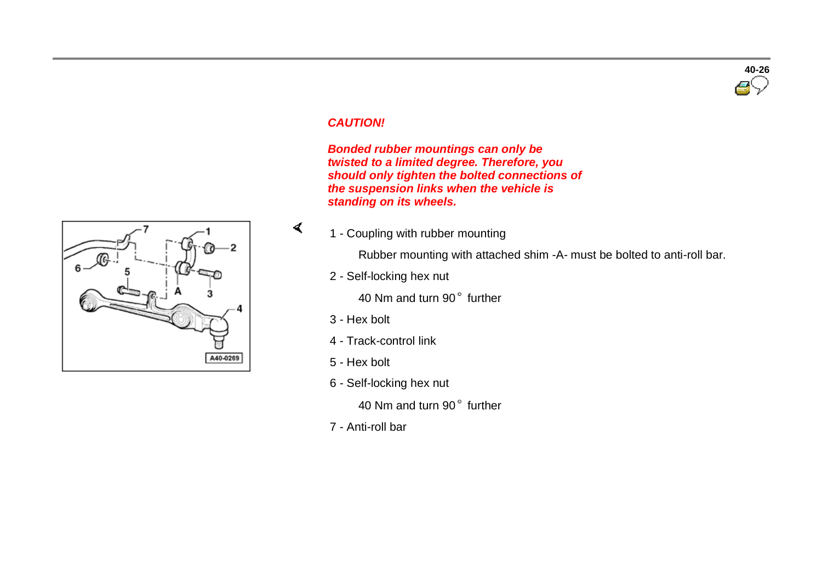# **40-26**

#### *CAUTION!*

 *Bonded rubber mountings can only be twisted to a limited degree. Therefore, you should only tighten the bolted connections of the suspension links when the vehicle is standing on its wheels.*

1 - Coupling with rubber mounting

Rubber mounting with attached shim -A- must be bolted to anti-roll bar.

2 - Self-locking hex nut

40 Nm and turn 90° further

3 - Hex bolt

 $\blacktriangleleft$ 

- 4 Track-control link
- 5 Hex bolt
- 6 Self-locking hex nut

40 Nm and turn 90° further

7 - Anti-roll bar

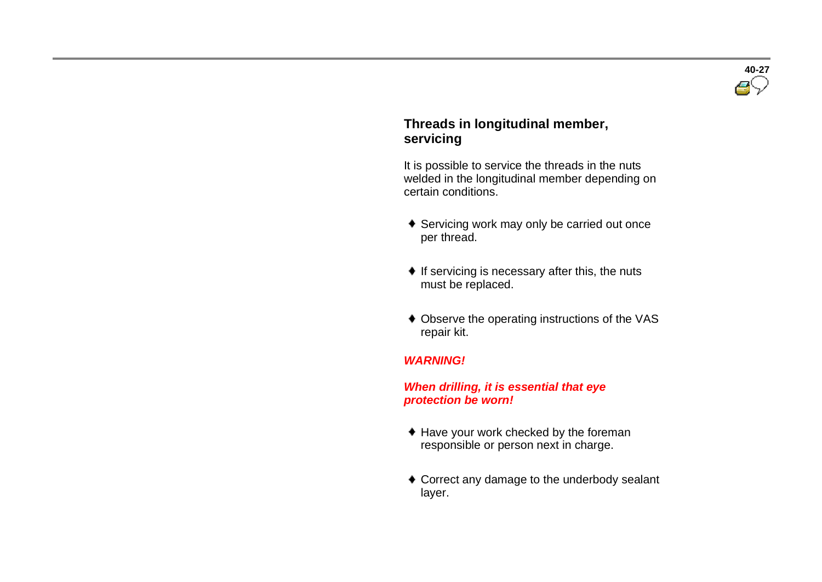

#### **Threads in longitudinal member, servicing**

It is possible to service the threads in the nuts welded in the longitudinal member depending on certain conditions.

- ◆ Servicing work may only be carried out once per thread.
- $\bullet$  If servicing is necessary after this, the nuts must be replaced.
- Observe the operating instructions of the VAS repair kit.

#### *WARNING!*

#### *When drilling, it is essential that eye protection be worn!*

- ♦ Have your work checked by the foreman responsible or person next in charge.
- ◆ Correct any damage to the underbody sealant layer.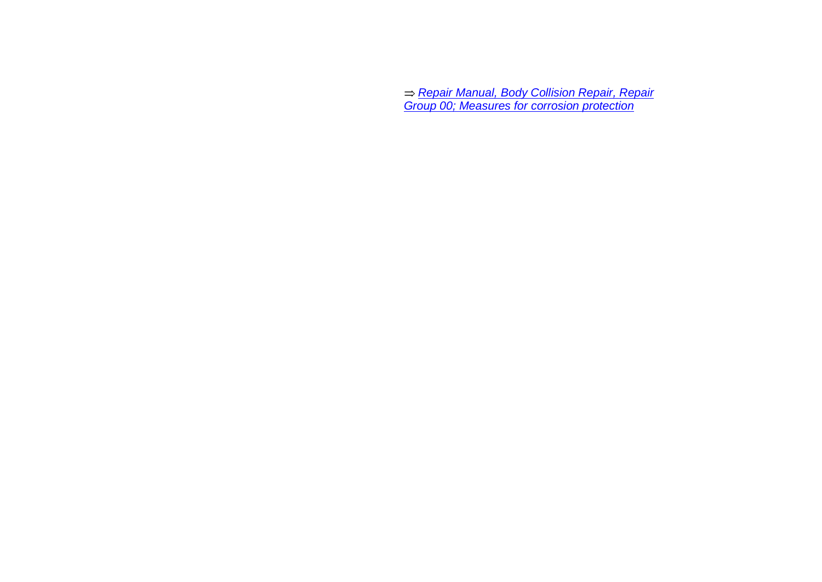*Repair Manual, Body Collision Repair, Repair Group 00; Measures for corrosion protection*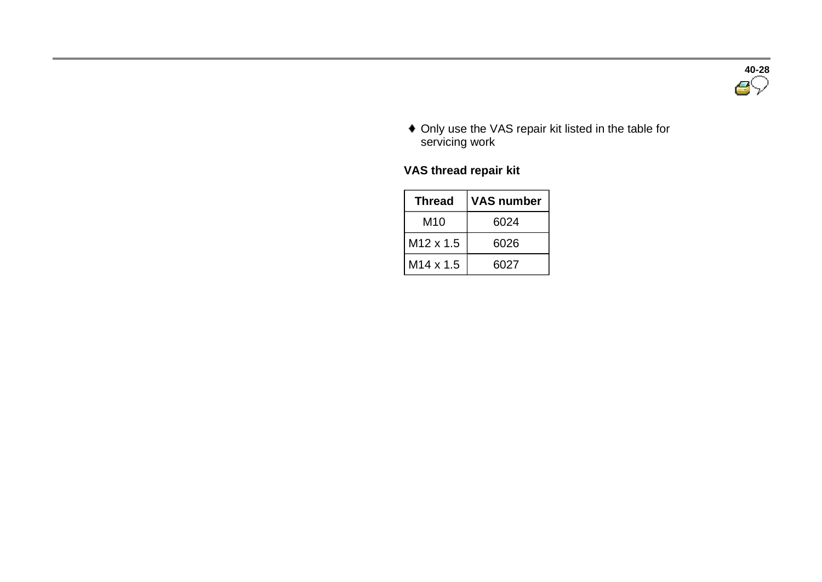

 Only use the VAS repair kit listed in the table for servicing work

## **VAS thread repair kit**

| <b>Thread</b>         | <b>VAS number</b> |
|-----------------------|-------------------|
| M <sub>10</sub>       | 6024              |
| M <sub>12</sub> x 1.5 | 6026              |
| M <sub>14</sub> x 1.5 | 6027              |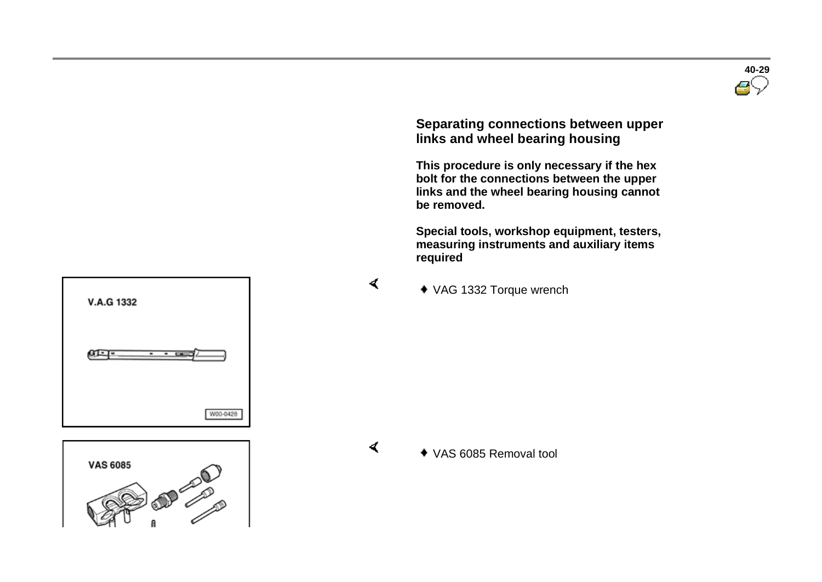

#### **Separating connections between upper links and wheel bearing housing**

 **This procedure is only necessary if the hex bolt for the connections between the upper links and the wheel bearing housing cannot be removed.**

 **Special tools, workshop equipment, testers, measuring instruments and auxiliary items required** 

 $\blacktriangleleft$ 

VAG 1332 Torque wrench





 $\blacktriangleleft$ 

#### VAS 6085 Removal tool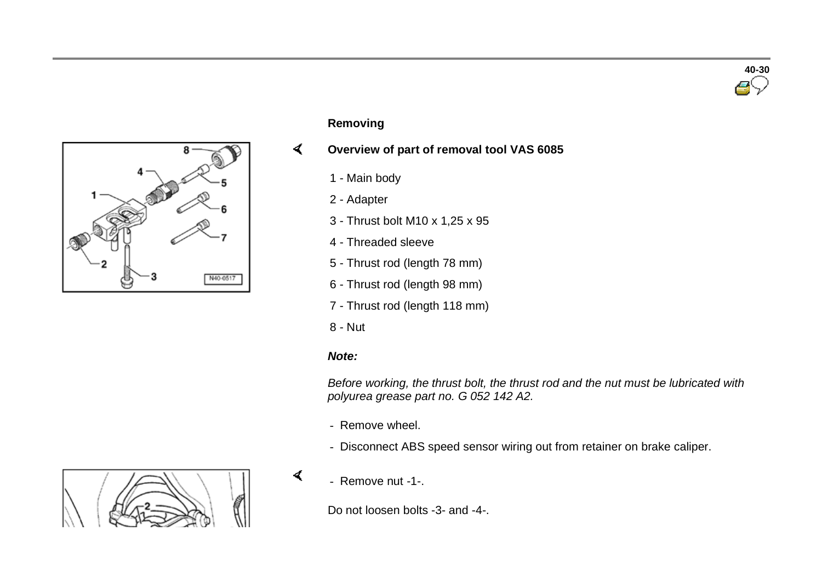



#### **Removing**

#### $\sigma$ **Overview of part of removal tool VAS 6085**

- 1 Main body
- 2 Adapter
- 3 Thrust bolt M10 x 1,25 x 95
- 4 Threaded sleeve
- 5 Thrust rod (length 78 mm)
- 6 Thrust rod (length 98 mm)
- 7 Thrust rod (length 118 mm)
- 8 Nut

#### *Note:*

 $\blacktriangleleft$ 

*Before working, the thrust bolt, the thrust rod and the nut must be lubricated with polyurea grease part no. G 052 142 A2.*

- Remove wheel.
- Disconnect ABS speed sensor wiring out from retainer on brake caliper.
- Remove nut -1-.

Do not loosen bolts -3- and -4-.

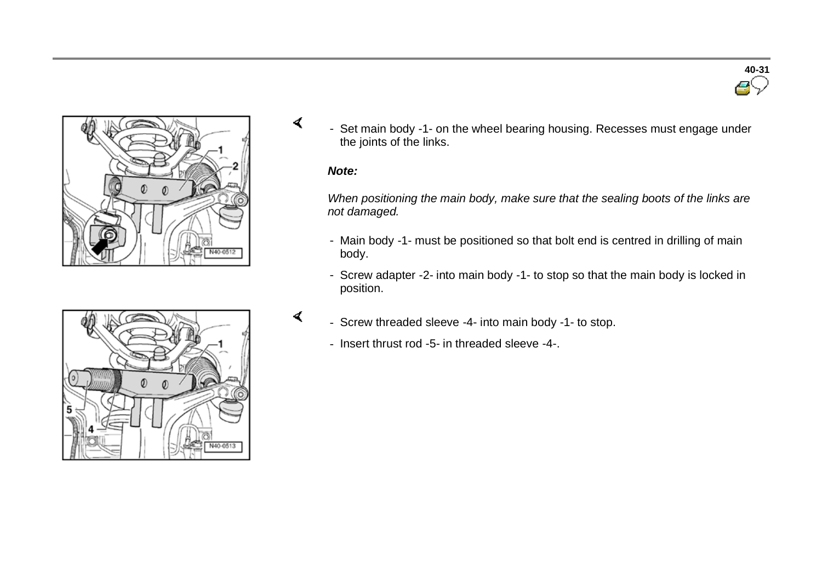

- Set main body -1- on the wheel bearing housing. Recesses must engage under the joints of the links.

#### *Note:*

 $\sigma$ 

 $\prec$ 

*When positioning the main body, make sure that the sealing boots of the links are not damaged.*

- Main body -1- must be positioned so that bolt end is centred in drilling of main body.
- Screw adapter -2- into main body -1- to stop so that the main body is locked in position.



- Insert thrust rod -5- in threaded sleeve -4-.



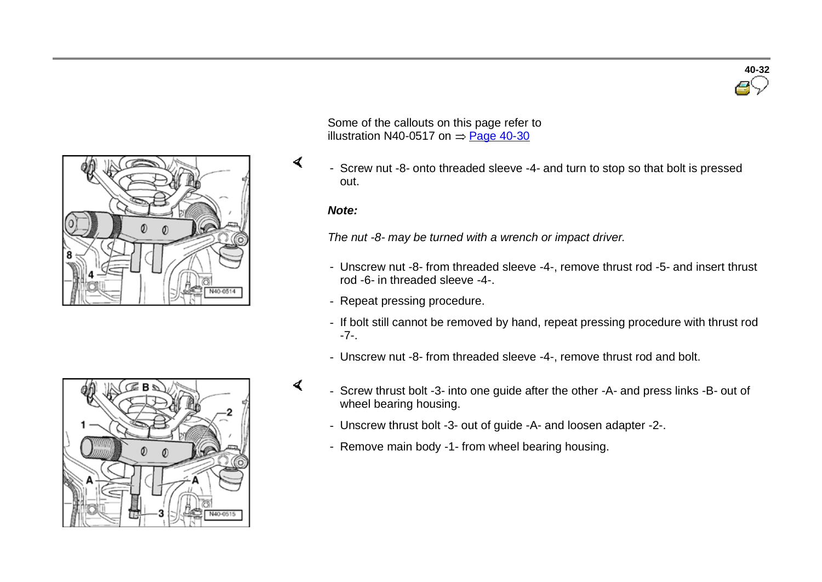



- Screw nut -8- onto threaded sleeve -4- and turn to stop so that bolt is pressed out.

#### *Note:*

 $\sigma$ 

 $\mathbf{I}$ 

*The nut -8- may be turned with a wrench or impact driver.*

- Unscrew nut -8- from threaded sleeve -4-, remove thrust rod -5- and insert thrust rod -6- in threaded sleeve -4-.
- Repeat pressing procedure.
- If bolt still cannot be removed by hand, repeat pressing procedure with thrust rod -7-.
- Unscrew nut -8- from threaded sleeve -4-, remove thrust rod and bolt.



- Screw thrust bolt -3- into one guide after the other -A- and press links -B- out of wheel bearing housing.
	- Unscrew thrust bolt -3- out of guide -A- and loosen adapter -2-.
	- Remove main body -1- from wheel bearing housing.

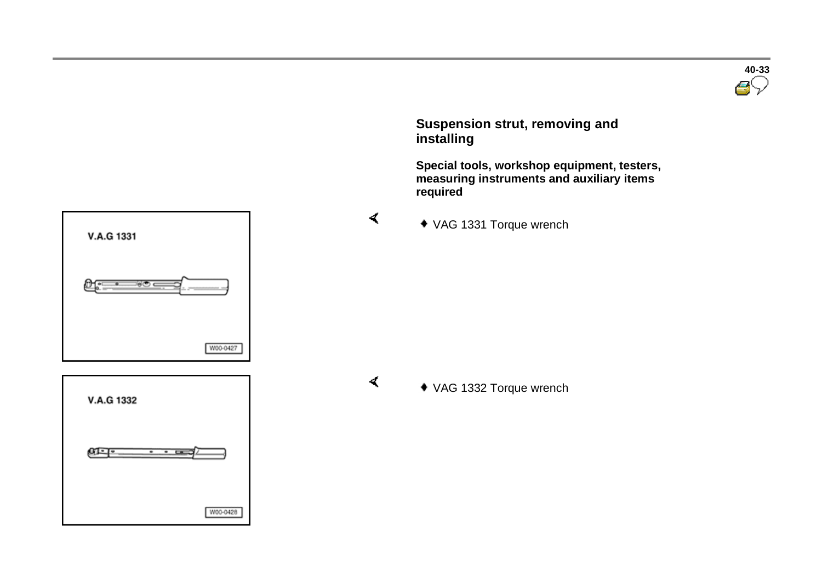

 **Suspension strut, removing and installing** 

 **Special tools, workshop equipment, testers, measuring instruments and auxiliary items required** 

VAG 1331 Torque wrench

 $\blacktriangleleft$ 

 $\blacktriangleleft$ 





VAG 1332 Torque wrench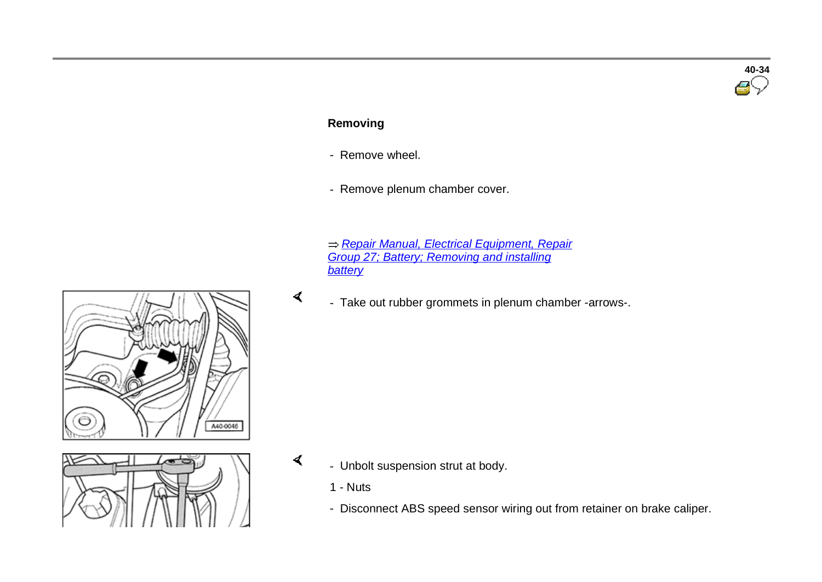## **40-34**

#### **Removing**

- Remove wheel.
- Remove plenum chamber cover.
- *Repair Manual, Electrical Equipment, Repair Group 27; Battery; Removing and installing battery*
- Take out rubber grommets in plenum chamber -arrows-.



- Unbolt suspension strut at body.
	- 1 Nuts

 $\blacktriangleleft$ 

 $\prec$ 

- Disconnect ABS speed sensor wiring out from retainer on brake caliper.

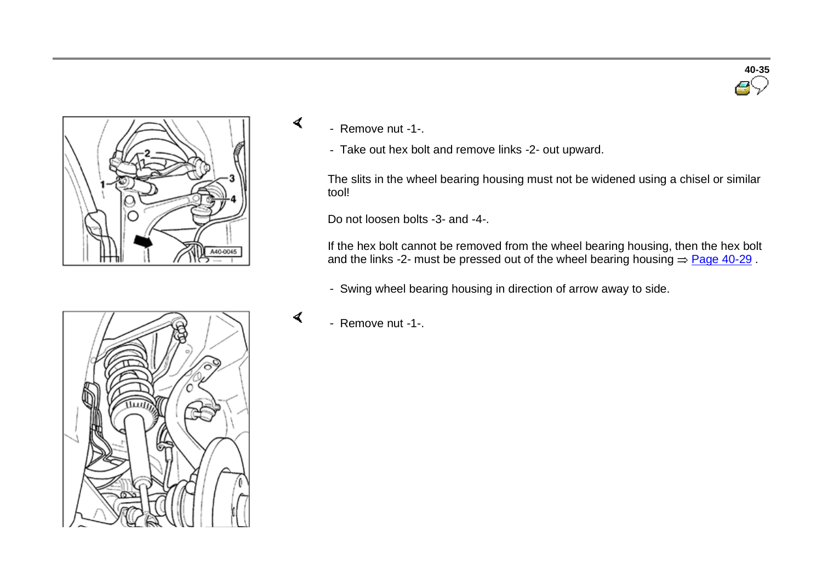



- Remove nut -1-.

 $\sigma$ 

 $\prec$ 

- Take out hex bolt and remove links -2- out upward.

The slits in the wheel bearing housing must not be widened using a chisel or similar tool!

Do not loosen bolts -3- and -4-.

If the hex bolt cannot be removed from the wheel bearing housing, then the hex bolt and the links -2- must be pressed out of the wheel bearing housing  $\Rightarrow$  Page 40-29 .

- Swing wheel bearing housing in direction of arrow away to side.



- Remove nut -1-.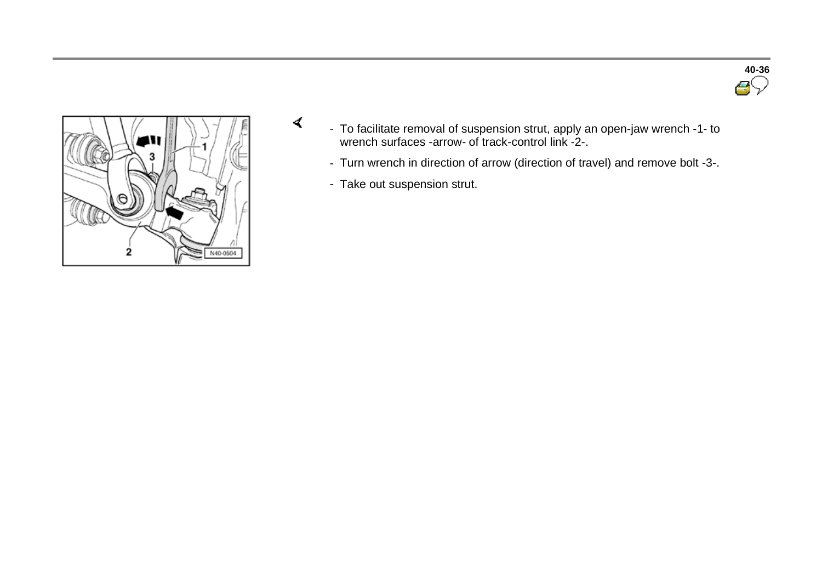



- To facilitate removal of suspension strut, apply an open-jaw wrench -1- to wrench surfaces -arrow- of track-control link -2-.
	- Turn wrench in direction of arrow (direction of travel) and remove bolt -3-.
	- Take out suspension strut.

 $\prec$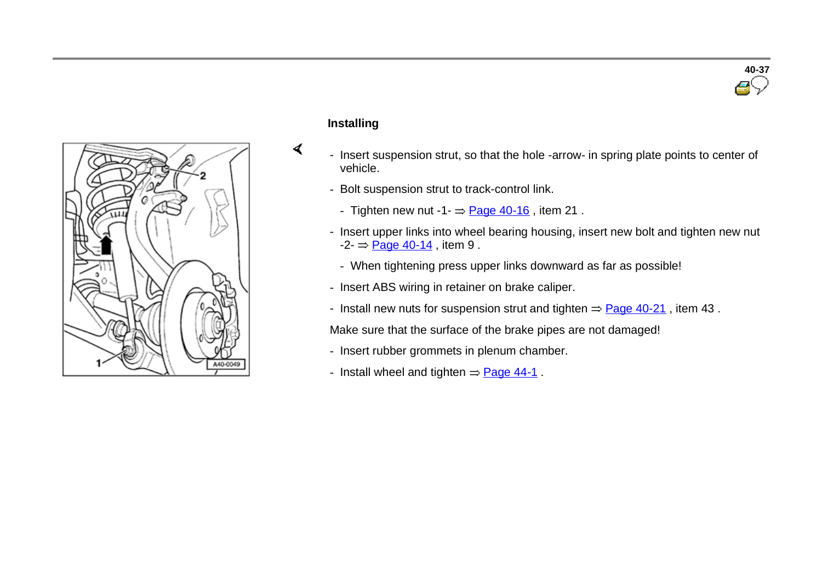

#### **Installing**

 $\sigma$ 

- Insert suspension strut, so that the hole -arrow- in spring plate points to center of vehicle.
- Bolt suspension strut to track-control link.
	- Tighten new nut -1- $\Rightarrow$  Page 40-16, item 21.
- Insert upper links into wheel bearing housing, insert new bolt and tighten new nut  $-2 - \frac{\text{Page } 40 - 14}{\text{Time } 9}$ , item 9.
	- When tightening press upper links downward as far as possible!
- Insert ABS wiring in retainer on brake caliper.
- Install new nuts for suspension strut and tighten  $\Rightarrow$  Page 40-21, item 43.

Make sure that the surface of the brake pipes are not damaged!

- Insert rubber grommets in plenum chamber.
- Install wheel and tighten  $=$  Page 44-1.

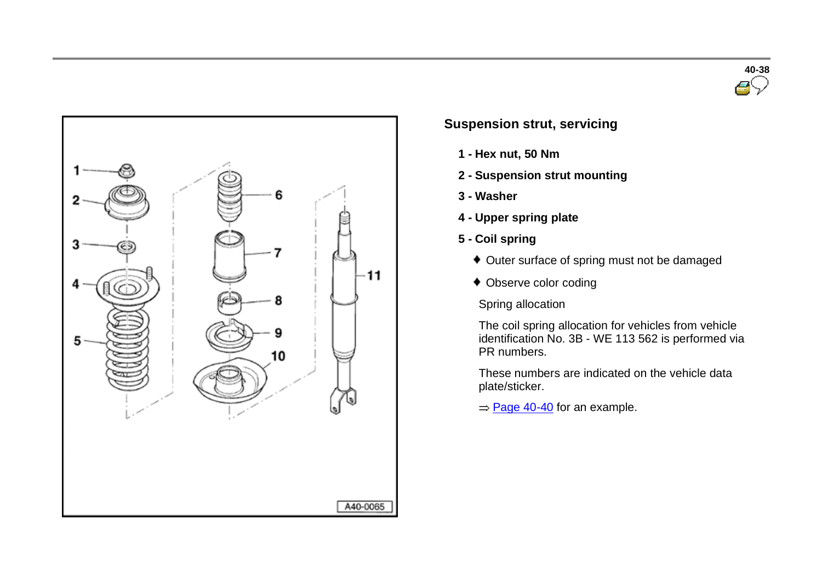



#### **Suspension strut, servicing**

- **1 - Hex nut, 50 Nm**
- **2 - Suspension strut mounting**
- **3 - Washer**
- **4 - Upper spring plate**
- **5 - Coil spring**
	- Outer surface of spring must not be damaged
	- Observe color coding

Spring allocation

The coil spring allocation for vehicles from vehicle identification No. 3B - WE 113 562 is performed via PR numbers.

These numbers are indicated on the vehicle data plate/sticker.

 $=$  Page 40-40 for an example.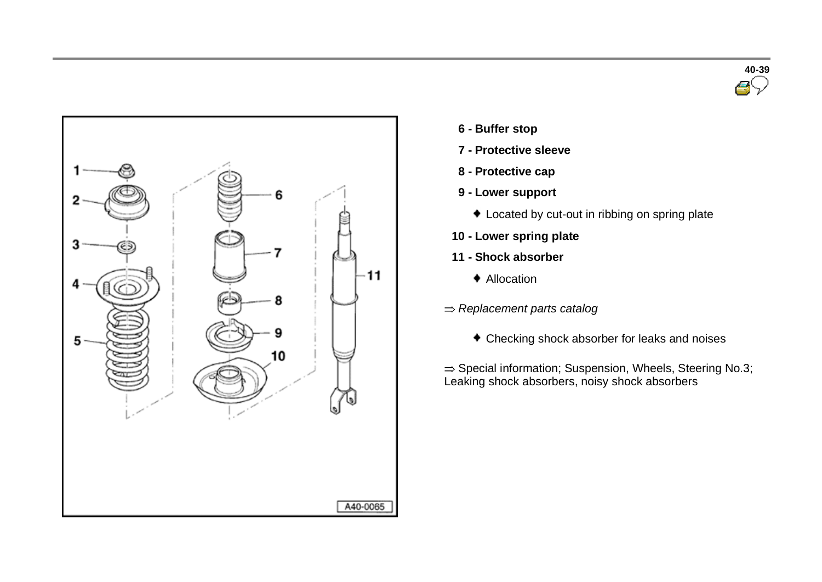



- **6 - Buffer stop**
- **7 - Protective sleeve**
- **8 - Protective cap**
- **9 - Lower support**
	- Located by cut-out in ribbing on spring plate
- **10 - Lower spring plate**
- **11 - Shock absorber**
	- ◆ Allocation
- *Replacement parts catalog*
	- Checking shock absorber for leaks and noises

 $\Rightarrow$  Special information; Suspension, Wheels, Steering No.3; Leaking shock absorbers, noisy shock absorbers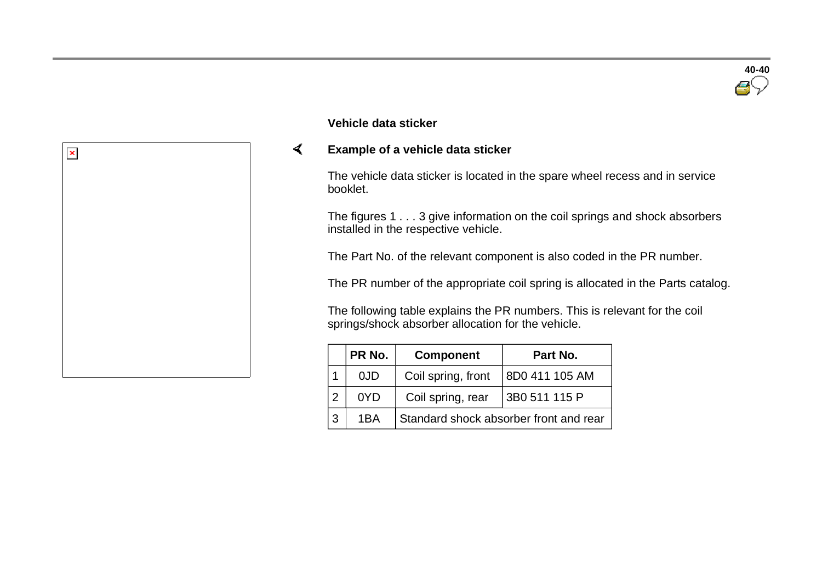

#### **Vehicle data sticker**

#### $\sigma$ **Example of a vehicle data sticker**

The vehicle data sticker is located in the spare wheel recess and in service booklet.

The figures 1 . . . 3 give information on the coil springs and shock absorbers installed in the respective vehicle.

The Part No. of the relevant component is also coded in the PR number.

The PR number of the appropriate coil spring is allocated in the Parts catalog.

The following table explains the PR numbers. This is relevant for the coil springs/shock absorber allocation for the vehicle.

| PR No. | <b>Component</b>                       | Part No.       |
|--------|----------------------------------------|----------------|
| 0JD    | Coil spring, front                     | 8D0 411 105 AM |
| 0YD    | Coil spring, rear                      | 3B0 511 115 P  |
| 1BA    | Standard shock absorber front and rear |                |

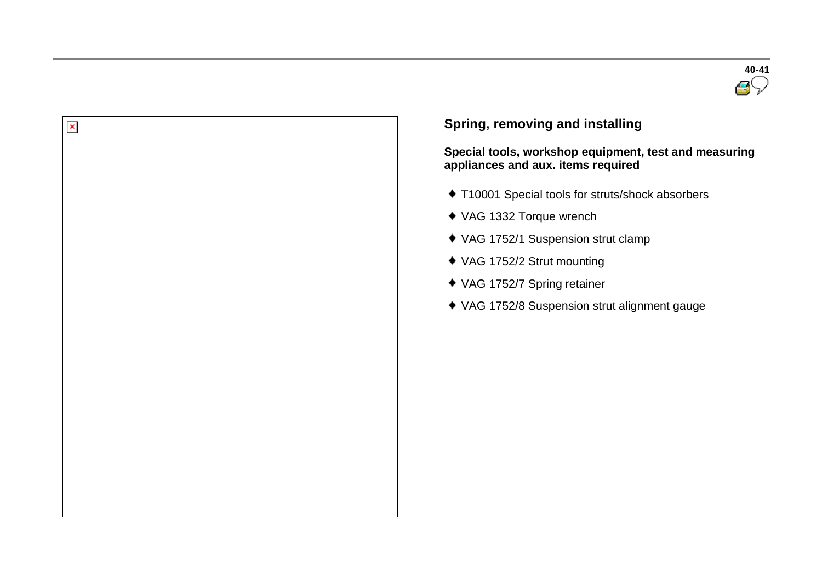

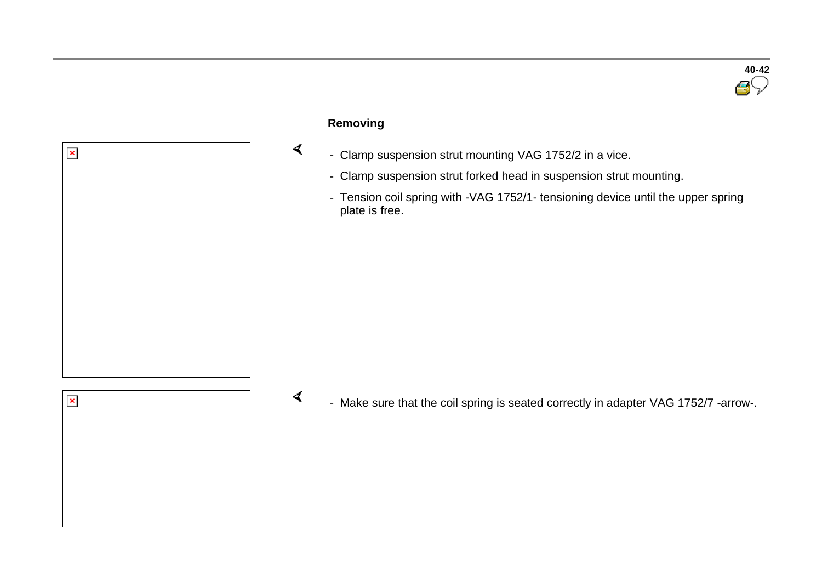

## **Removing**

 $\blacktriangleleft$ 

- Clamp suspension strut mounting VAG 1752/2 in a vice.
- Clamp suspension strut forked head in suspension strut mounting.
- Tension coil spring with -VAG 1752/1- tensioning device until the upper spring plate is free.



 $\pmb{\times}$ 

- Make sure that the coil spring is seated correctly in adapter VAG 1752/7 -arrow-.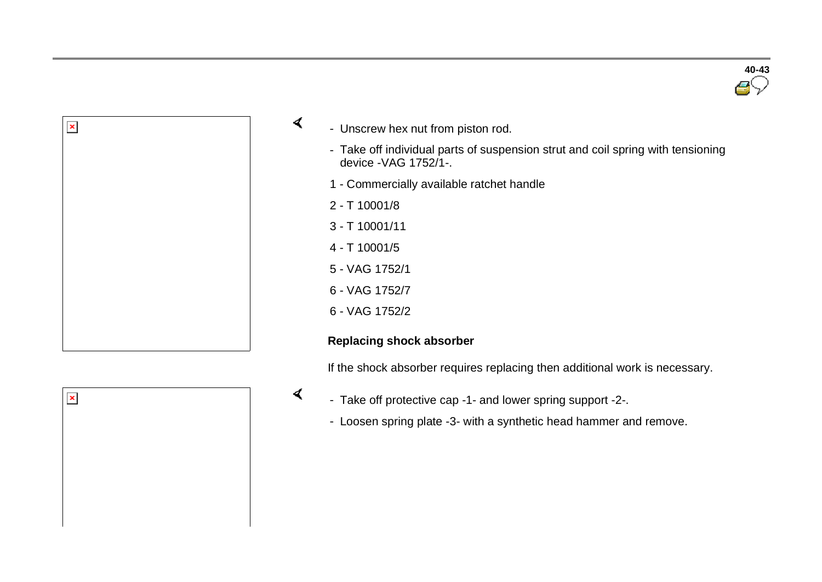



- Unscrew hex nut from piston rod.
	- Take off individual parts of suspension strut and coil spring with tensioning device -VAG 1752/1-.
	- 1 Commercially available ratchet handle
	- 2 T 10001/8

 $\sigma$ 

 $\prec$ 

- 3 T 10001/11
- 4 T 10001/5
- 5 VAG 1752/1
- 6 VAG 1752/7
- 6 VAG 1752/2

#### **Replacing shock absorber**

If the shock absorber requires replacing then additional work is necessary.



- Take off protective cap -1- and lower spring support -2-.
	- Loosen spring plate -3- with a synthetic head hammer and remove.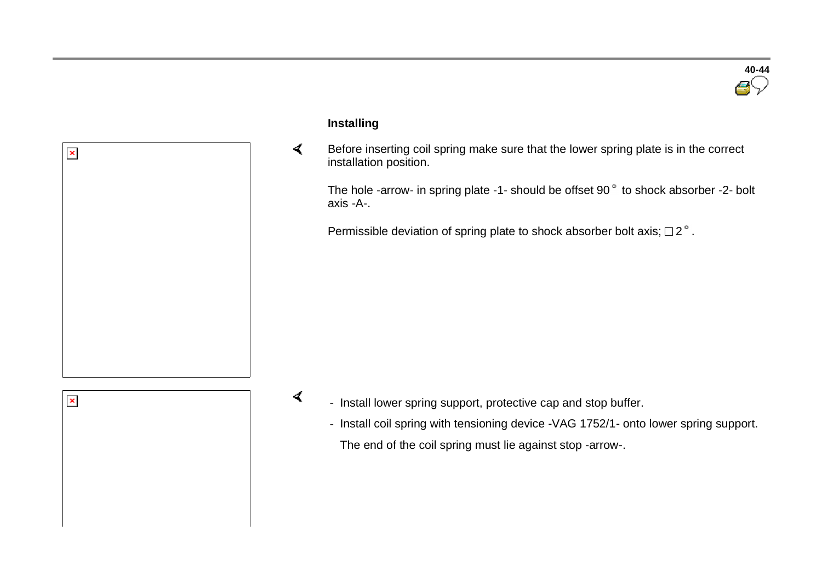



 $\pmb{\times}$ 

#### **Installing**

 $\blacktriangleleft$  Before inserting coil spring make sure that the lower spring plate is in the correct installation position.

The hole -arrow- in spring plate -1- should be offset  $90^\circ$  to shock absorber -2- bolt axis -A-.

Permissible deviation of spring plate to shock absorber bolt axis;  $\Box$  2°.

 $\sigma$ 

- Install lower spring support, protective cap and stop buffer.
	- Install coil spring with tensioning device -VAG 1752/1- onto lower spring support. The end of the coil spring must lie against stop -arrow-.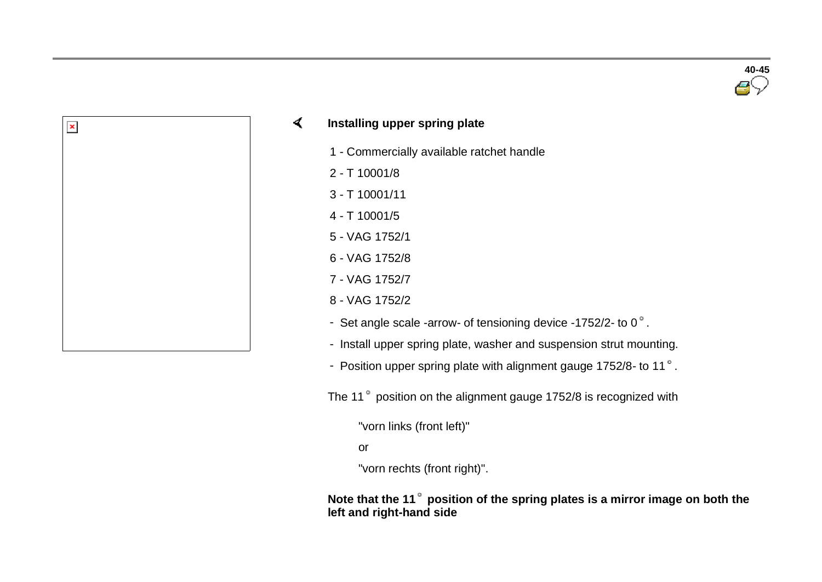**40-45**

#### $\sigma$ **Installing upper spring plate**

- 1 Commercially available ratchet handle
- 2 T 10001/8

 $\pmb{\times}$ 

- 3 T 10001/11
- 4 T 10001/5
- 5 VAG 1752/1
- 6 VAG 1752/8
- 7 VAG 1752/7
- 8 VAG 1752/2
- Set angle scale -arrow- of tensioning device -1752/2- to  $0^\circ$ .
- Install upper spring plate, washer and suspension strut mounting.
- Position upper spring plate with alignment gauge 1752/8- to 11 $^{\circ}$ .

The 11<sup>°</sup> position on the alignment gauge 1752/8 is recognized with

"vorn links (front left)"

or

"vorn rechts (front right)".

**Note that the 11 position of the spring plates is a mirror image on both the left and right-hand side**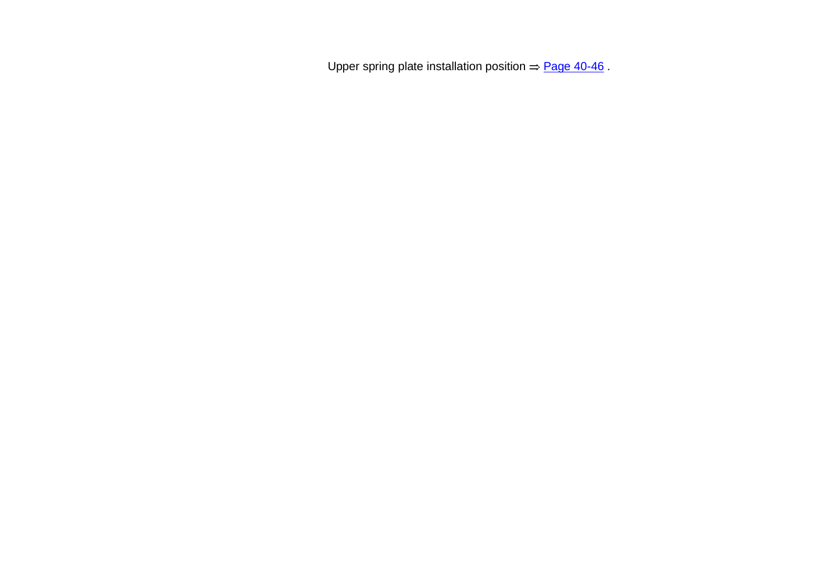Upper spring plate installation position  $\Rightarrow$  Page 40-46.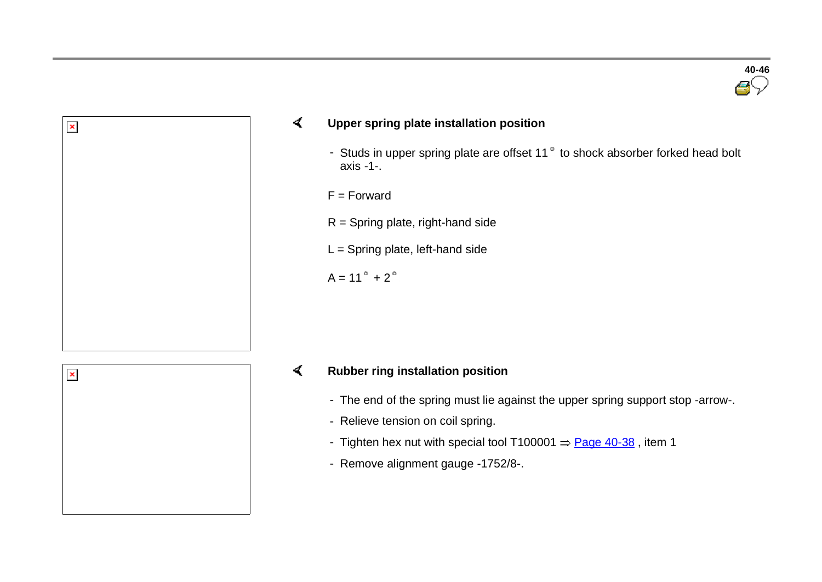

#### $\sigma$ **Upper spring plate installation position**

- Studs in upper spring plate are offset 11 $\degree$  to shock absorber forked head bolt axis -1-.
- F = Forward
- $R =$  Spring plate, right-hand side
- L = Spring plate, left-hand side

 $A = 11^{\circ} + 2^{\circ}$ 



 $\pmb{\times}$ 

#### **Rubber ring installation position**  $\prec$

- The end of the spring must lie against the upper spring support stop -arrow-.
- Relieve tension on coil spring.
- Tighten hex nut with special tool T100001  $=$  Page 40-38, item 1
- Remove alignment gauge -1752/8-.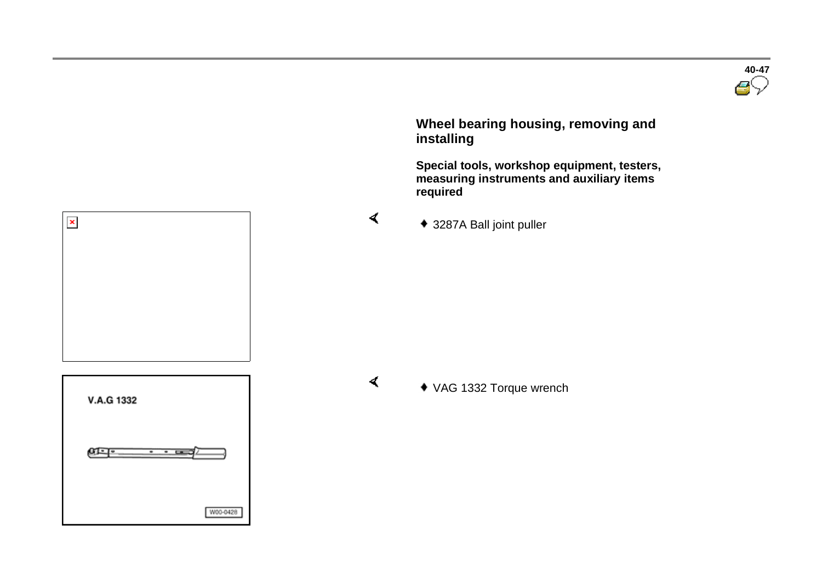

 **Wheel bearing housing, removing and installing** 

 **Special tools, workshop equipment, testers, measuring instruments and auxiliary items required** 

3287A Ball joint puller

**V.A.G 1332** ளு-W00-0428

 $\pmb{\times}$ 

 $\blacktriangleleft$ 

VAG 1332 Torque wrench

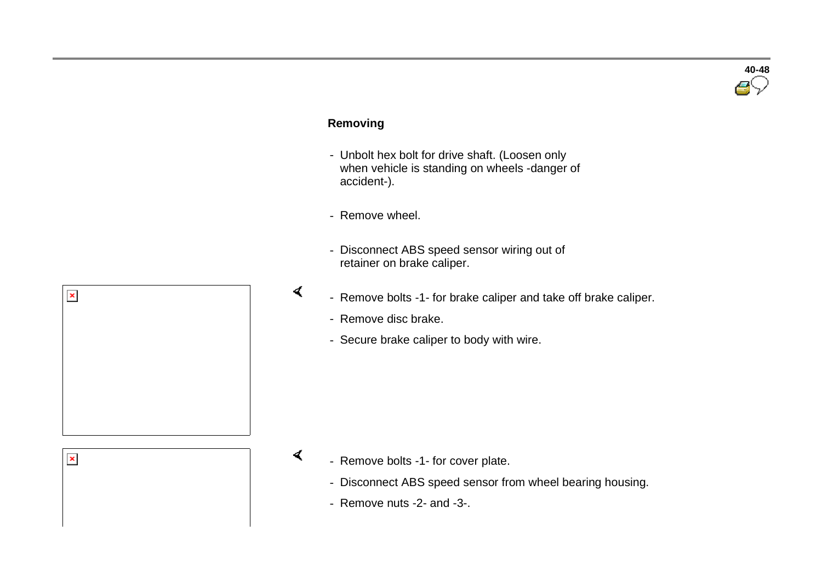# **40-48**

#### **Removing**

- Unbolt hex bolt for drive shaft. (Loosen only when vehicle is standing on wheels -danger of accident-).
- Remove wheel.

 $\blacktriangleleft$ 

 $\blacktriangleleft$ 

- Disconnect ABS speed sensor wiring out of retainer on brake caliper.
- Remove bolts -1- for brake caliper and take off brake caliper.
	- Remove disc brake.
	- Secure brake caliper to body with wire.



 $\pmb{\times}$ 

- Remove bolts -1- for cover plate.
	- Disconnect ABS speed sensor from wheel bearing housing.
	- Remove nuts -2- and -3-.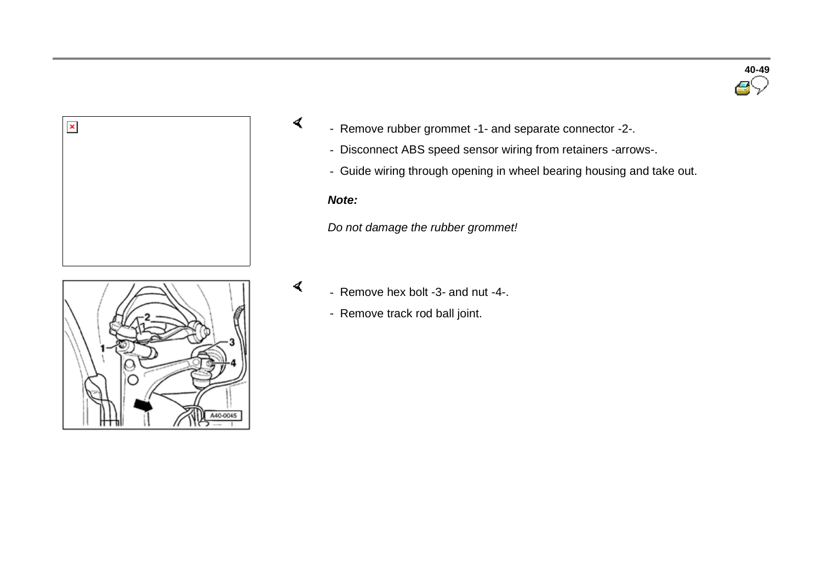



- Remove rubber grommet -1- and separate connector -2-.
	- Disconnect ABS speed sensor wiring from retainers -arrows-.
	- Guide wiring through opening in wheel bearing housing and take out.

#### *Note:*

 $\prec$ 

 $\blacktriangleleft$ 

*Do not damage the rubber grommet!*



- Remove hex bolt -3- and nut -4-.
	- Remove track rod ball joint.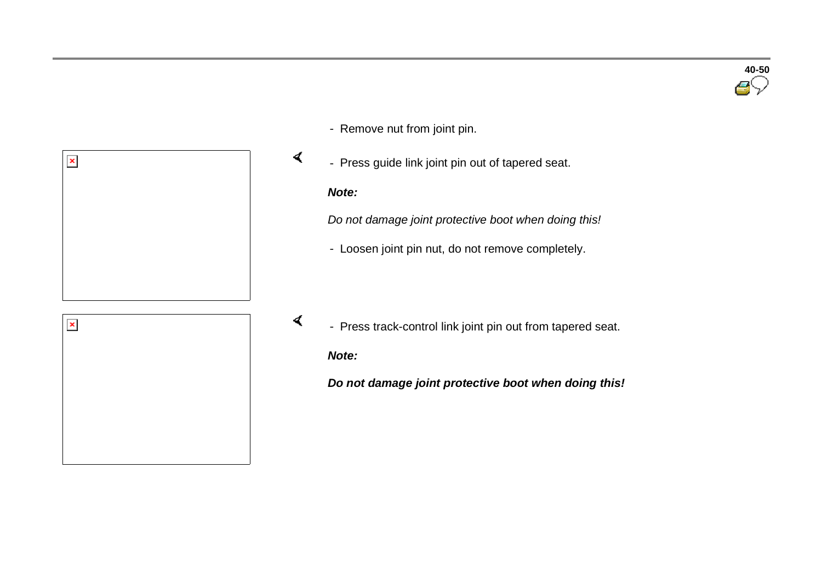

- Remove nut from joint pin.
- Press guide link joint pin out of tapered seat.

#### *Note:*

 $\blacktriangleleft$ 

 $\blacktriangleleft$ 

*Do not damage joint protective boot when doing this!*

- Loosen joint pin nut, do not remove completely.



- Press track-control link joint pin out from tapered seat.

*Note:*

*Do not damage joint protective boot when doing this!*

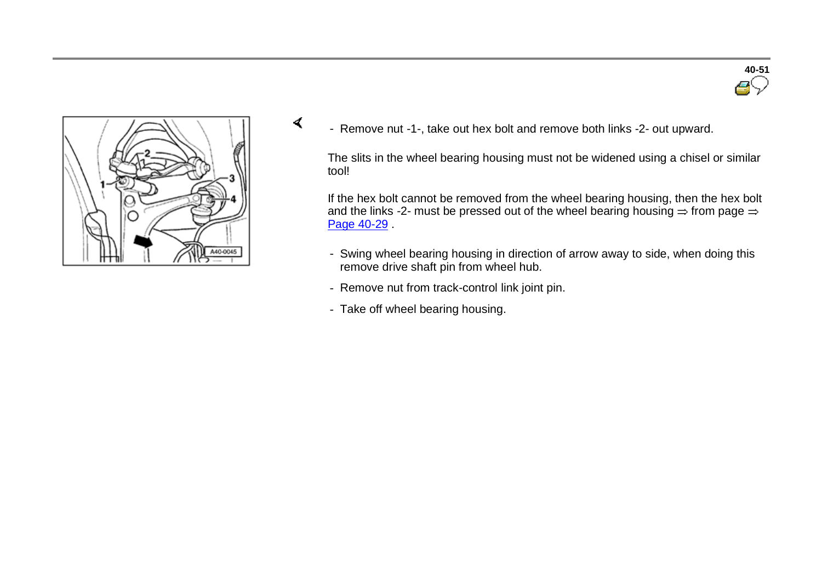



 $\sigma$ 

- Remove nut -1-, take out hex bolt and remove both links -2- out upward.

The slits in the wheel bearing housing must not be widened using a chisel or similar tool!

If the hex bolt cannot be removed from the wheel bearing housing, then the hex bolt and the links -2- must be pressed out of the wheel bearing housing  $=$  from page  $=$ Page 40-29 .

- Swing wheel bearing housing in direction of arrow away to side, when doing this remove drive shaft pin from wheel hub.
- Remove nut from track-control link joint pin.
- Take off wheel bearing housing.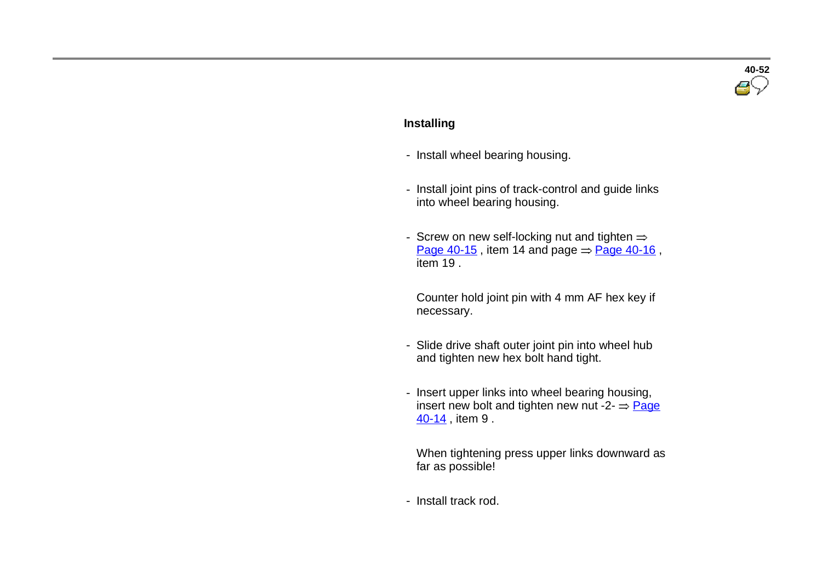# **40-52**

#### **Installing**

- Install wheel bearing housing.
- Install joint pins of track-control and guide links into wheel bearing housing.
- Screw on new self-locking nut and tighten  $\Rightarrow$ Page  $40-15$ , item 14 and page  $\Rightarrow$  Page 40-16, item 19 .

 Counter hold joint pin with 4 mm AF hex key if necessary.

- Slide drive shaft outer joint pin into wheel hub and tighten new hex bolt hand tight.
- Insert upper links into wheel bearing housing, insert new bolt and tighten new nut -2-  $\Rightarrow$  Page 40-14 , item 9 .

 When tightening press upper links downward as far as possible!

- Install track rod.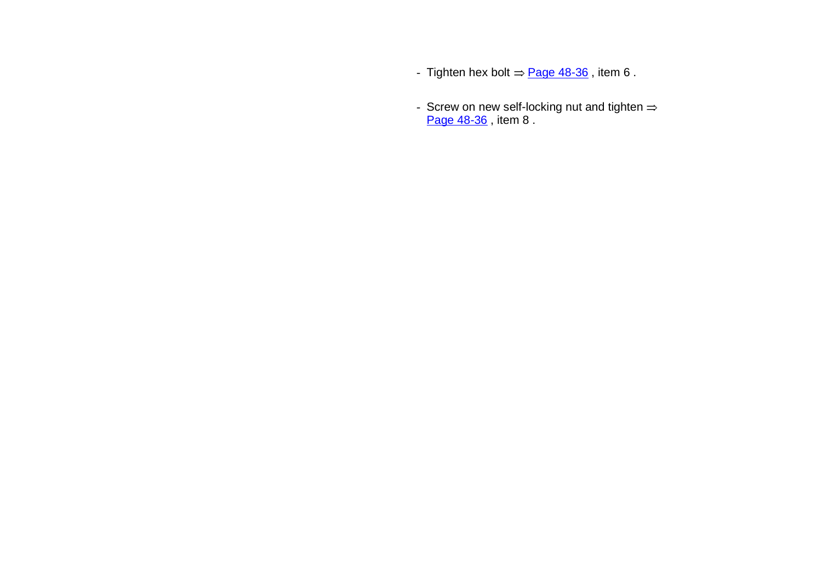- Tighten hex bolt  $\Rightarrow$  Page 48-36, item 6.
- Screw on new self-locking nut and tighten Page 48-36, item 8.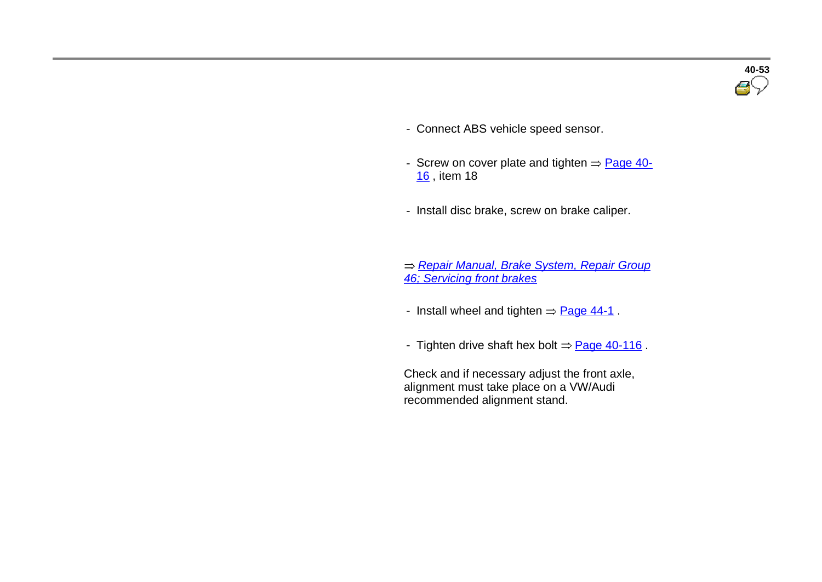- Connect ABS vehicle speed sensor.
- Screw on cover plate and tighten  $=$  Page 40-16 , item 18
- Install disc brake, screw on brake caliper.

 *Repair Manual, Brake System, Repair Group 46; Servicing front brakes*

- Install wheel and tighten  $=$  Page 44-1.
- Tighten drive shaft hex bolt  $\Rightarrow$  Page 40-116.

 Check and if necessary adjust the front axle, alignment must take place on a VW/Audi recommended alignment stand.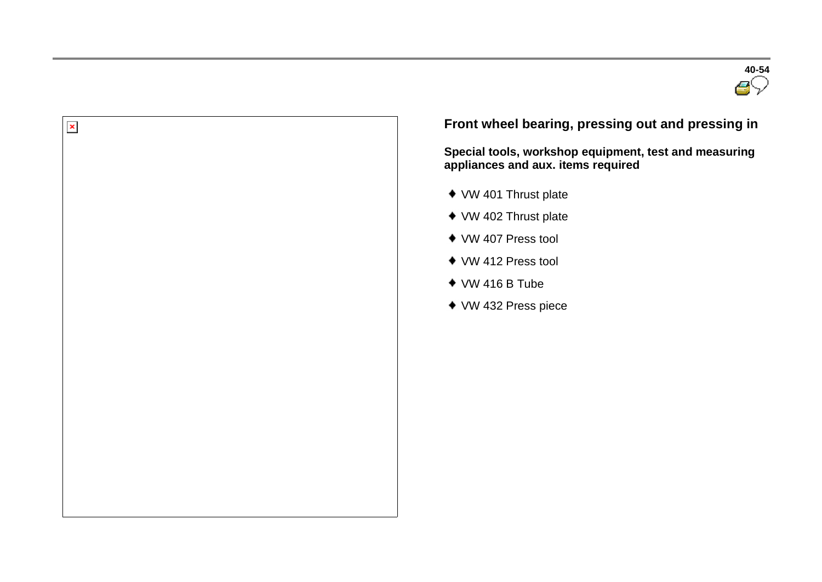



### **Front wheel bearing, pressing out and pressing in**

**Special tools, workshop equipment, test and measuring appliances and aux. items required** 

- VW 401 Thrust plate
- ◆ VW 402 Thrust plate
- VW 407 Press tool
- VW 412 Press tool
- $\bullet$  VW 416 B Tube
- ◆ VW 432 Press piece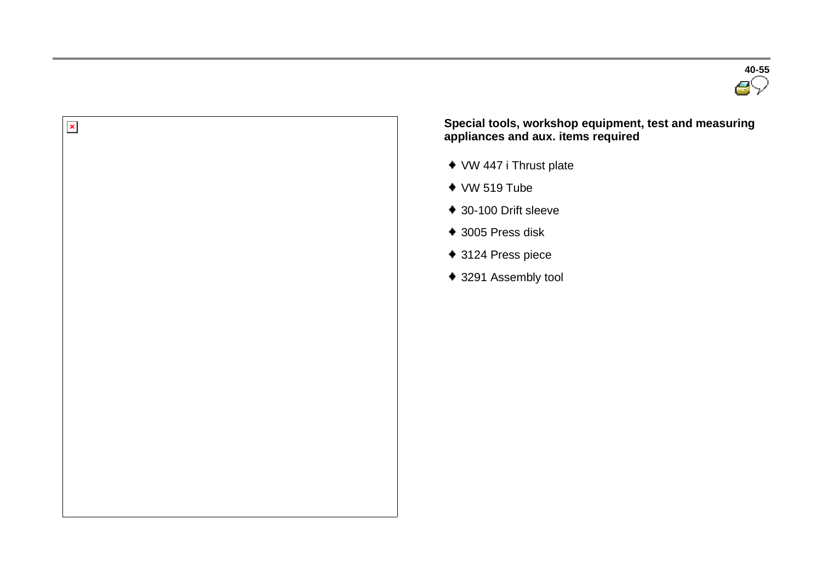



 **Special tools, workshop equipment, test and measuring appliances and aux. items required** 

- VW 447 i Thrust plate
- $*$  VW 519 Tube
- 30-100 Drift sleeve
- 3005 Press disk
- ◆ 3124 Press piece
- ◆ 3291 Assembly tool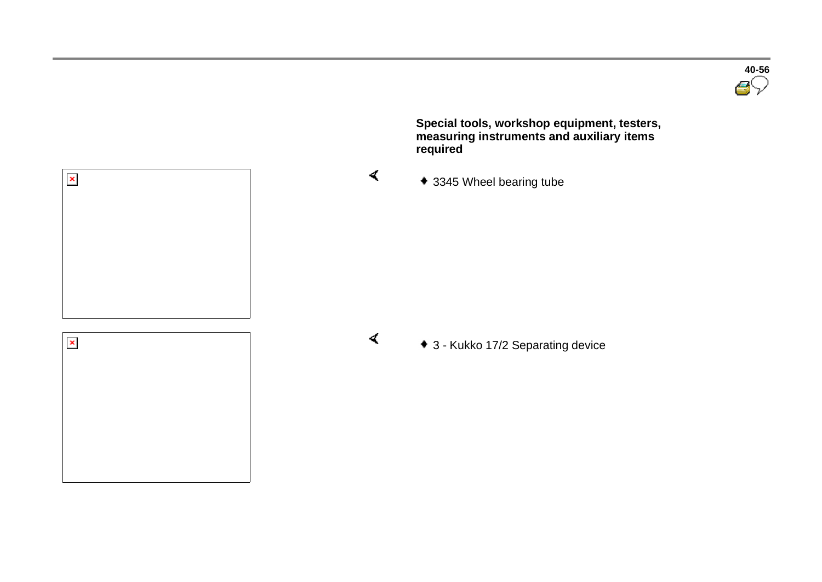**40-56**

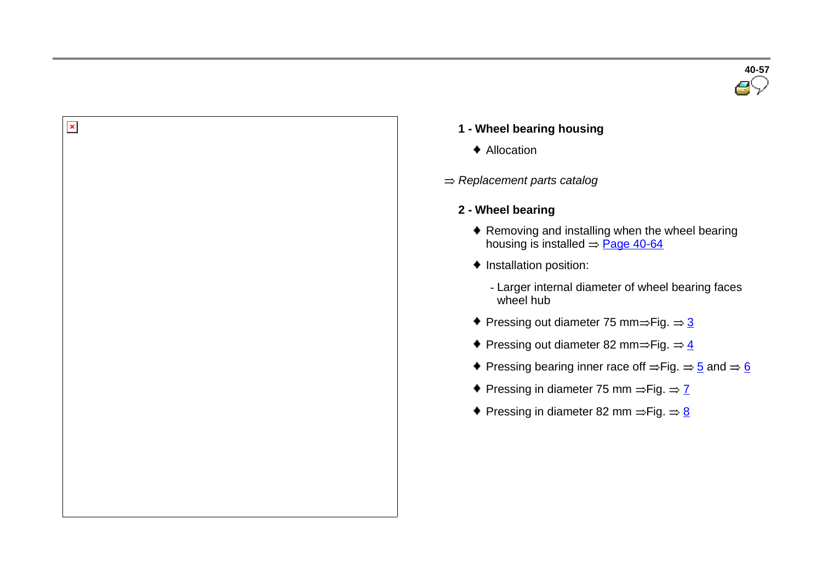

♦ Allocation

 $\pmb{\times}$ 

- *Replacement parts catalog*
	- **2 - Wheel bearing**
		- ◆ Removing and installing when the wheel bearing housing is installed  $\Rightarrow$  Page 40-64
		- $\bullet$  Installation position:
			- Larger internal diameter of wheel bearing faces wheel hub
		- Pressing out diameter 75 mm $\Rightarrow$  Fig.  $\Rightarrow$  3
		- Pressing out diameter 82 mm=Fig.  $\Rightarrow$  4
		- Pressing bearing inner race off  $=$  Fig.  $\Rightarrow$  5 and  $\Rightarrow$  6
		- Pressing in diameter 75 mm  $=$  Fig.  $=$   $\frac{7}{2}$
		- Pressing in diameter 82 mm  $\Rightarrow$  Fig.  $\Rightarrow$  8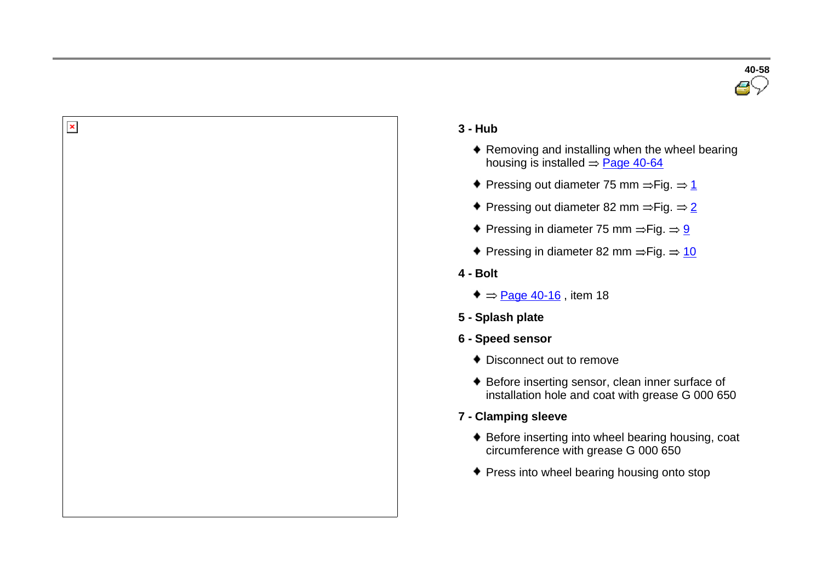



 $\pmb{\times}$ 

- **3 - Hub**
	- ◆ Removing and installing when the wheel bearing housing is installed  $=$  Page 40-64
	- Pressing out diameter 75 mm  $\Rightarrow$  Fig.  $\Rightarrow$  1
	- Pressing out diameter 82 mm  $=$  Fig.  $=$  2
	- Pressing in diameter 75 mm  $=$  Fig.  $= 9$
	- Pressing in diameter 82 mm  $\Rightarrow$  Fig.  $\Rightarrow$  10
- **4 - Bolt**
	- $\bullet$  = Page 40-16, item 18
- **5 - Splash plate**
- **6 - Speed sensor**
	- ◆ Disconnect out to remove
	- ◆ Before inserting sensor, clean inner surface of installation hole and coat with grease G 000 650
- **7 - Clamping sleeve**
	- Before inserting into wheel bearing housing, coat circumference with grease G 000 650
	- ◆ Press into wheel bearing housing onto stop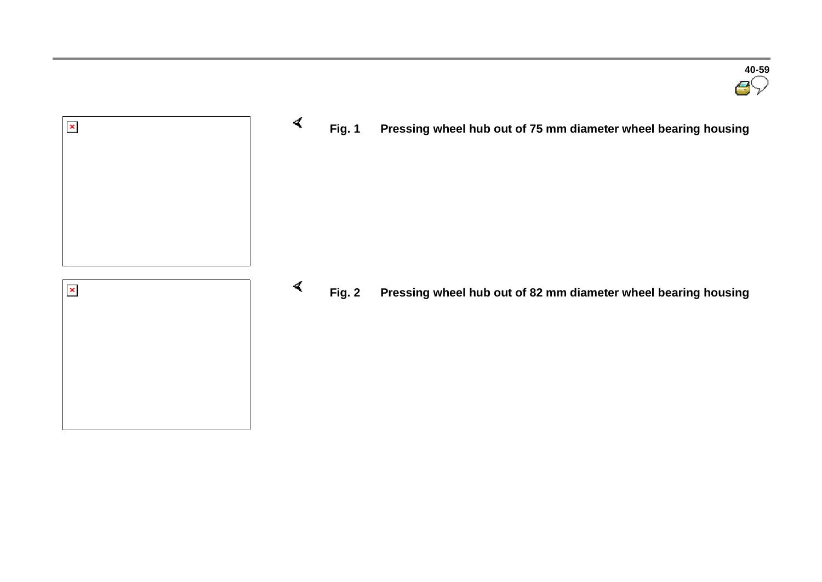

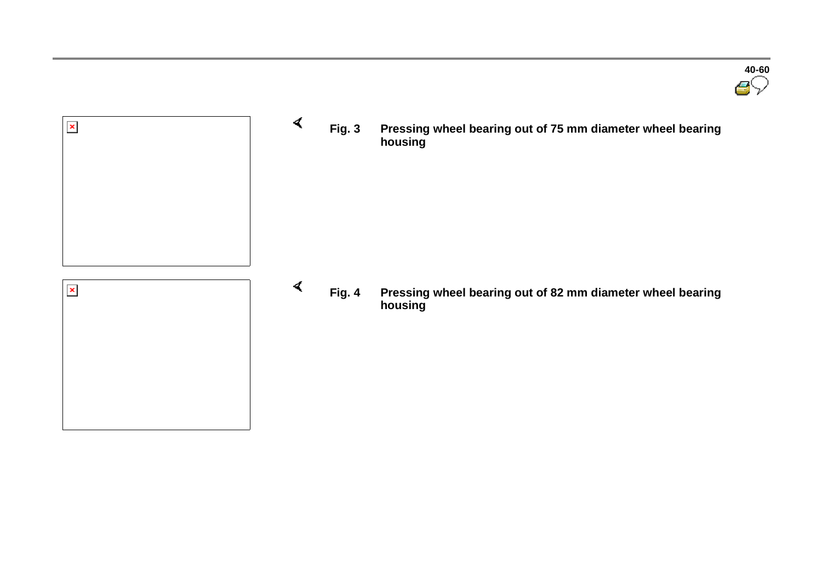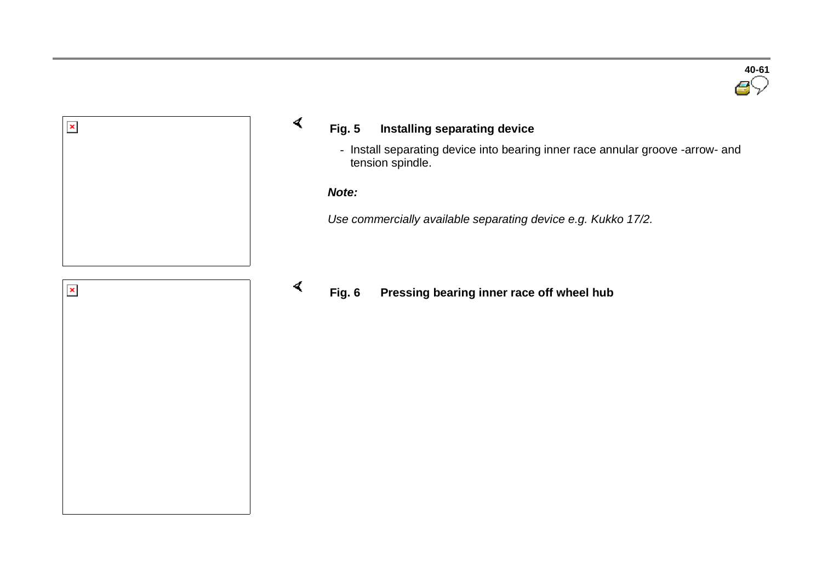



#### **Fig. 5 Installing separating device**

- Install separating device into bearing inner race annular groove -arrow- and tension spindle.

#### *Note:*

 $\sigma$ 

 $\blacktriangleleft$ 

*Use commercially available separating device e.g. Kukko 17/2.*



### **Fig. 6 Pressing bearing inner race off wheel hub**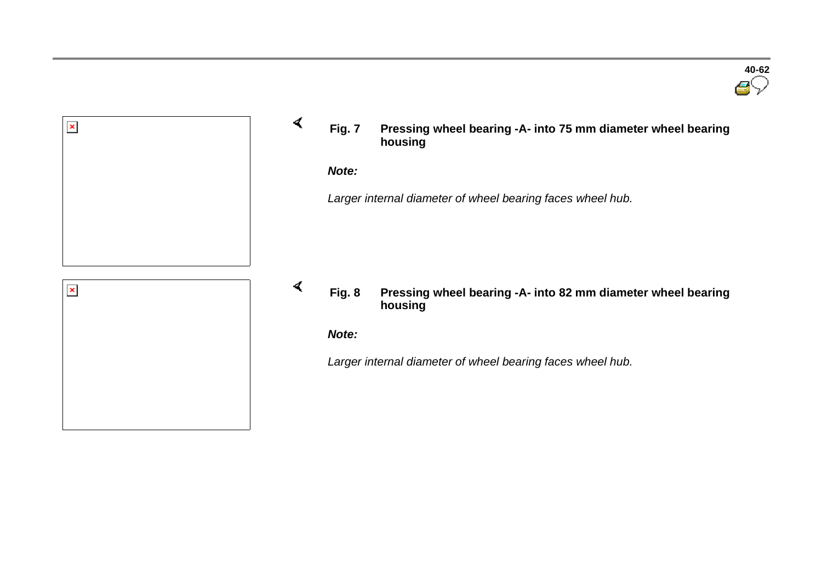

**Fig. 7 Pressing wheel bearing -A- into 75 mm diameter wheel bearing housing**

*Note:*

 $\sigma$ 

 $\blacktriangleleft$ 

*Larger internal diameter of wheel bearing faces wheel hub.*

**Fig. 8 Pressing wheel bearing -A- into 82 mm diameter wheel bearing housing**

*Note:*

*Larger internal diameter of wheel bearing faces wheel hub.*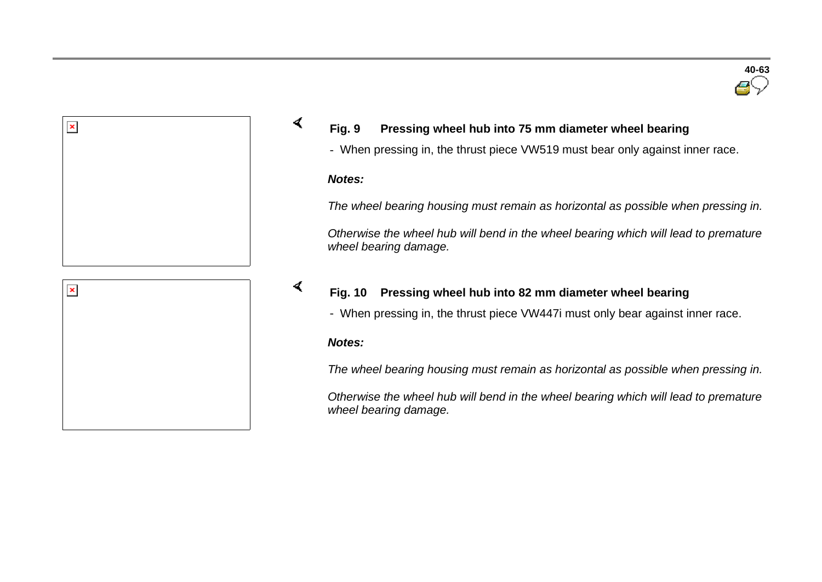



#### **Fig. 9 Pressing wheel hub into 75 mm diameter wheel bearing**

- When pressing in, the thrust piece VW519 must bear only against inner race.

#### *Notes:*

 $\blacktriangleleft$ 

*The wheel bearing housing must remain as horizontal as possible when pressing in.*

*Otherwise the wheel hub will bend in the wheel bearing which will lead to premature wheel bearing damage.*

#### $\blacktriangleleft$ **Fig. 10 Pressing wheel hub into 82 mm diameter wheel bearing**

- When pressing in, the thrust piece VW447i must only bear against inner race.

#### *Notes:*

*The wheel bearing housing must remain as horizontal as possible when pressing in.*

*Otherwise the wheel hub will bend in the wheel bearing which will lead to premature wheel bearing damage.*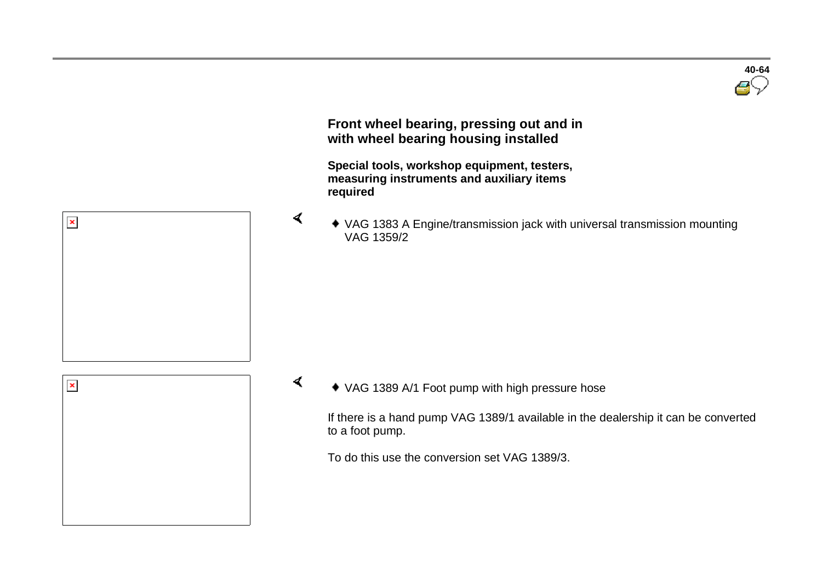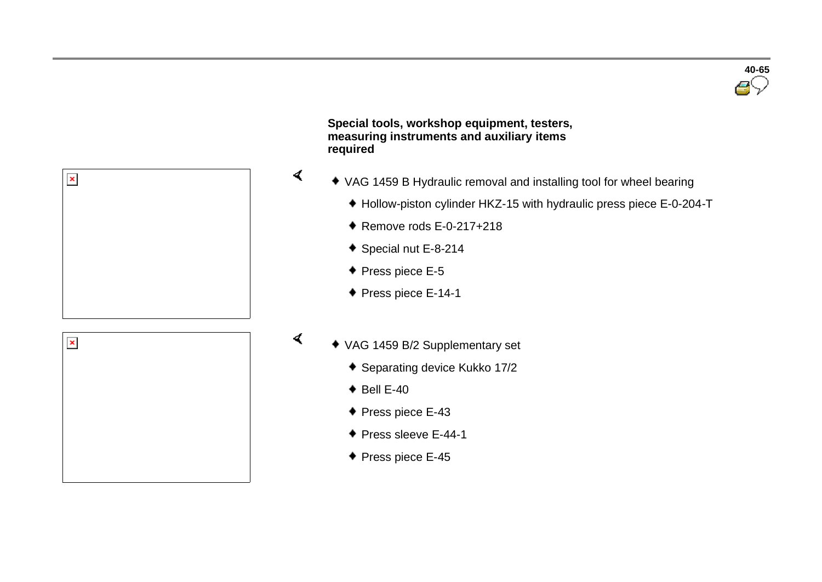

 **Special tools, workshop equipment, testers, measuring instruments and auxiliary items required** 

- VAG 1459 B Hydraulic removal and installing tool for wheel bearing
	- Hollow-piston cylinder HKZ-15 with hydraulic press piece E-0-204-T
	- $\bullet$  Remove rods E-0-217+218
	- ◆ Special nut E-8-214
	- ◆ Press piece E-5

 $\prec$ 

 $\blacktriangleleft$ 

◆ Press piece E-14-1



 $\pmb{\times}$ 

- VAG 1459 B/2 Supplementary set
	- Separating device Kukko 17/2
	- $\bullet$  Bell E-40
	- ◆ Press piece E-43
	- ◆ Press sleeve E-44-1
	- ◆ Press piece E-45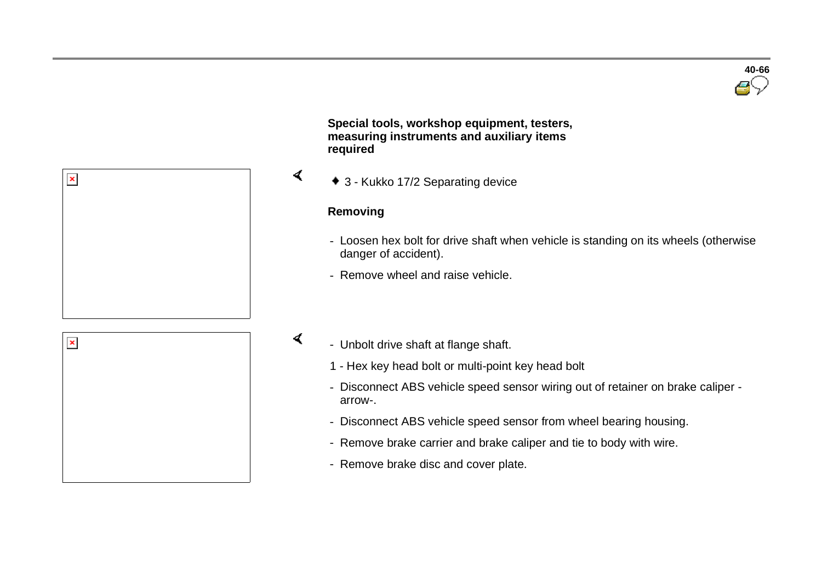

 **Special tools, workshop equipment, testers, measuring instruments and auxiliary items required** 

3 - Kukko 17/2 Separating device

#### **Removing**

 $\sigma$ 

 $\mathcal{L}$ 

- Loosen hex bolt for drive shaft when vehicle is standing on its wheels (otherwise danger of accident).
- Remove wheel and raise vehicle.



 $\pmb{\times}$ 

- Unbolt drive shaft at flange shaft.
	- 1 Hex key head bolt or multi-point key head bolt
	- Disconnect ABS vehicle speed sensor wiring out of retainer on brake caliper arrow-.
	- Disconnect ABS vehicle speed sensor from wheel bearing housing.
	- Remove brake carrier and brake caliper and tie to body with wire.
	- Remove brake disc and cover plate.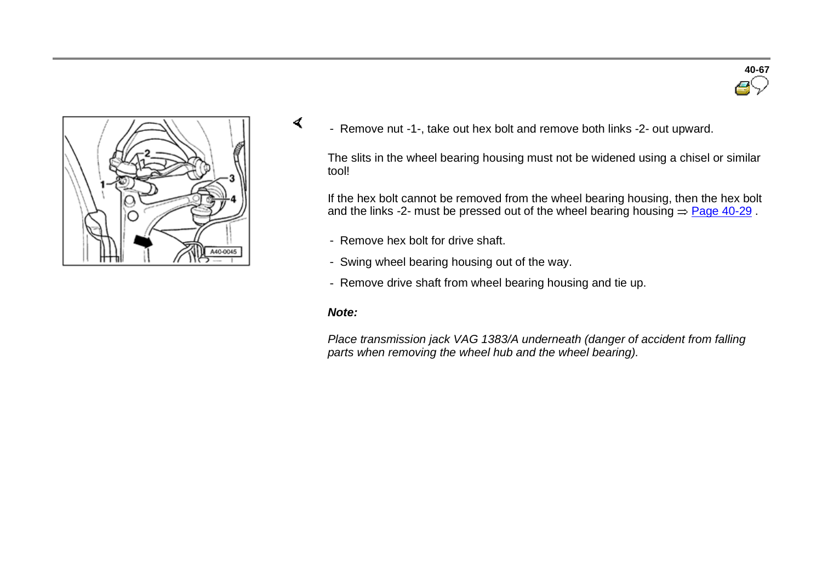



- Remove nut -1-, take out hex bolt and remove both links -2- out upward.

The slits in the wheel bearing housing must not be widened using a chisel or similar tool!

If the hex bolt cannot be removed from the wheel bearing housing, then the hex bolt and the links -2- must be pressed out of the wheel bearing housing  $=$  Page 40-29.

- Remove hex bolt for drive shaft.
- Swing wheel bearing housing out of the way.
- Remove drive shaft from wheel bearing housing and tie up.

#### *Note:*

 $\sigma$ 

*Place transmission jack VAG 1383/A underneath (danger of accident from falling parts when removing the wheel hub and the wheel bearing).*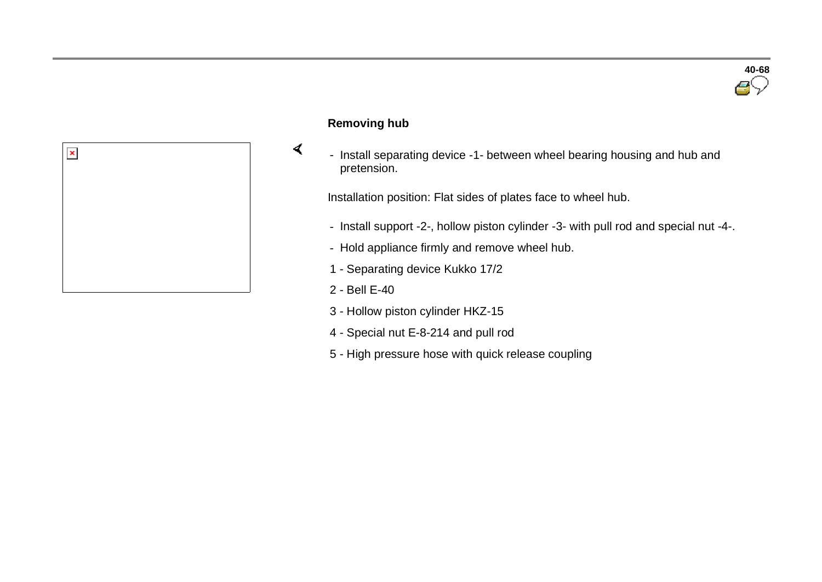

#### **Removing hub**

 $\prec$ 

- Install separating device -1- between wheel bearing housing and hub and pretension.

Installation position: Flat sides of plates face to wheel hub.

- Install support -2-, hollow piston cylinder -3- with pull rod and special nut -4-.
- Hold appliance firmly and remove wheel hub.
- 1 Separating device Kukko 17/2
- 2 Bell E-40
- 3 Hollow piston cylinder HKZ-15
- 4 Special nut E-8-214 and pull rod
- 5 High pressure hose with quick release coupling

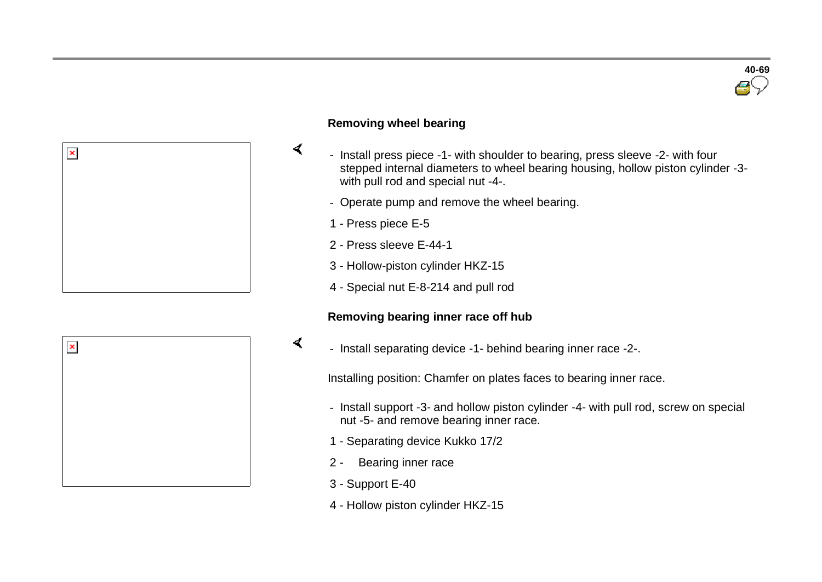



#### **Removing wheel bearing**

- Install press piece -1- with shoulder to bearing, press sleeve -2- with four stepped internal diameters to wheel bearing housing, hollow piston cylinder -3 with pull rod and special nut -4-.
- Operate pump and remove the wheel bearing.
- 1 Press piece E-5

 $\sigma$ 

- 2 Press sleeve E-44-1
- 3 Hollow-piston cylinder HKZ-15
- 4 Special nut E-8-214 and pull rod

#### **Removing bearing inner race off hub**

- Install separating device -1- behind bearing inner race -2-.

Installing position: Chamfer on plates faces to bearing inner race.

- Install support -3- and hollow piston cylinder -4- with pull rod, screw on special nut -5- and remove bearing inner race.
- 1 Separating device Kukko 17/2
- 2 Bearing inner race
- 3 Support E-40
- 4 Hollow piston cylinder HKZ-15

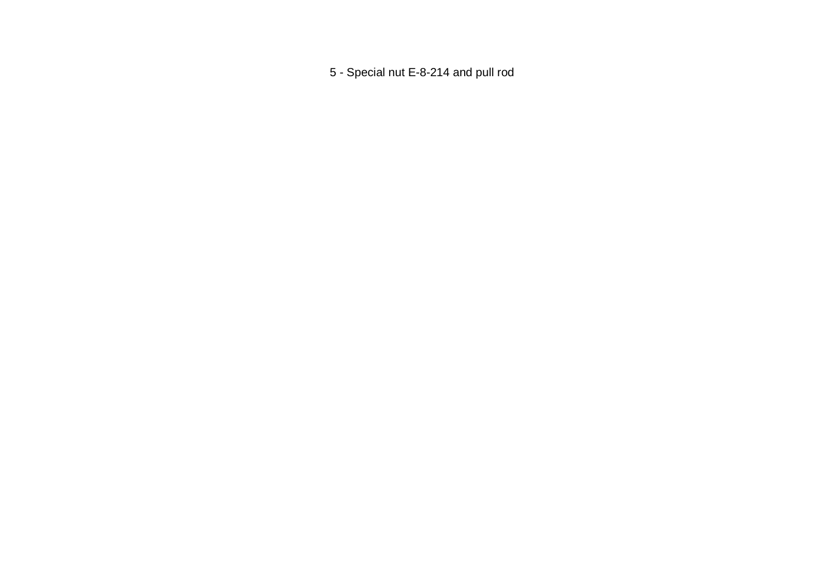- Special nut E-8-214 and pull rod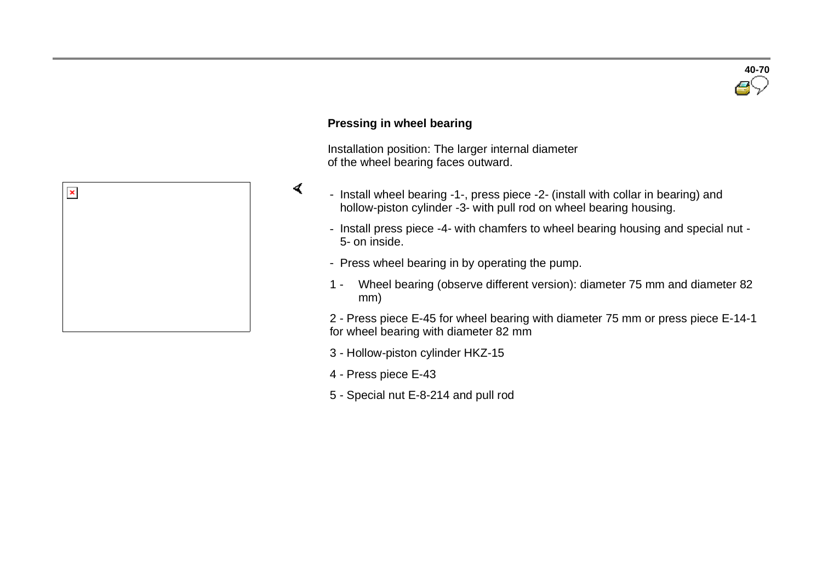

#### **Pressing in wheel bearing**

 $\blacktriangleleft$ 

 Installation position: The larger internal diameter of the wheel bearing faces outward.



- Install press piece -4- with chamfers to wheel bearing housing and special nut 5- on inside.
- Press wheel bearing in by operating the pump.
- 1 Wheel bearing (observe different version): diameter 75 mm and diameter 82 mm)

2 - Press piece E-45 for wheel bearing with diameter 75 mm or press piece E-14-1 for wheel bearing with diameter 82 mm

- 3 Hollow-piston cylinder HKZ-15
- 4 Press piece E-43
- 5 Special nut E-8-214 and pull rod

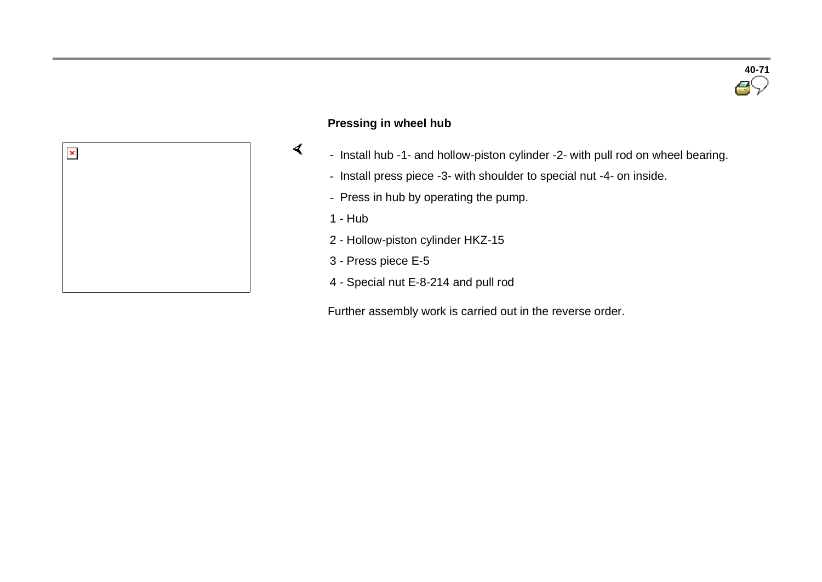



#### **Pressing in wheel hub**

- Install hub -1- and hollow-piston cylinder -2- with pull rod on wheel bearing.
- Install press piece -3- with shoulder to special nut -4- on inside.
- Press in hub by operating the pump.
- 1 Hub
- 2 Hollow-piston cylinder HKZ-15
- 3 Press piece E-5
- 4 Special nut E-8-214 and pull rod

Further assembly work is carried out in the reverse order.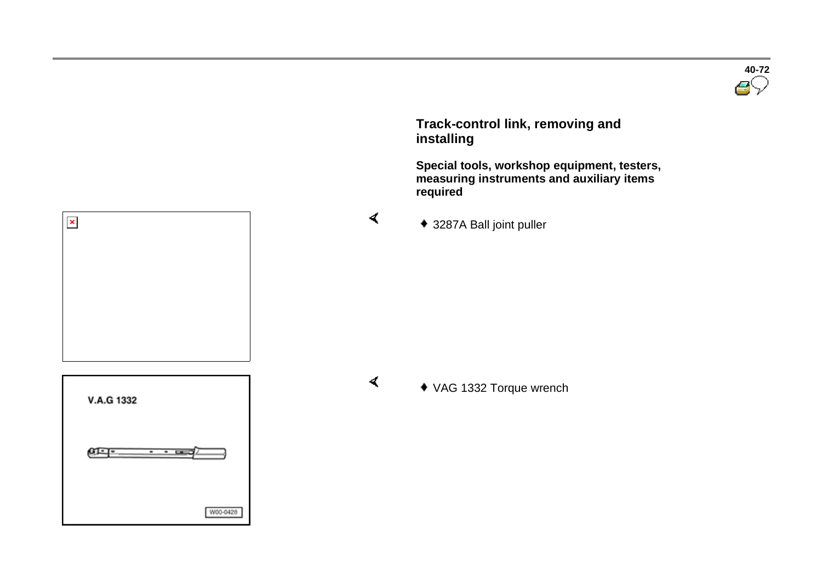

 **Track-control link, removing and installing**

 **Special tools, workshop equipment, testers, measuring instruments and auxiliary items required** 

3287A Ball joint puller

**V.A.G 1332** ளு-W00-0428

 $\pmb{\times}$ 

 $\blacktriangleleft$ 

VAG 1332 Torque wrench

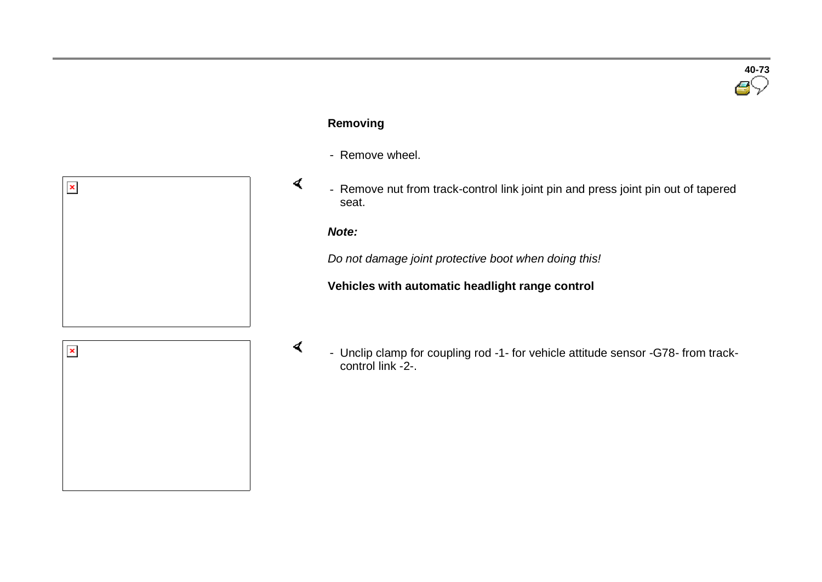

#### **Removing**

- Remove wheel.



#### *Note:*

 $\blacktriangleleft$ 

*Do not damage joint protective boot when doing this!*

#### **Vehicles with automatic headlight range control**

- $\pmb{\times}$
- Unclip clamp for coupling rod -1- for vehicle attitude sensor -G78- from trackcontrol link -2-.

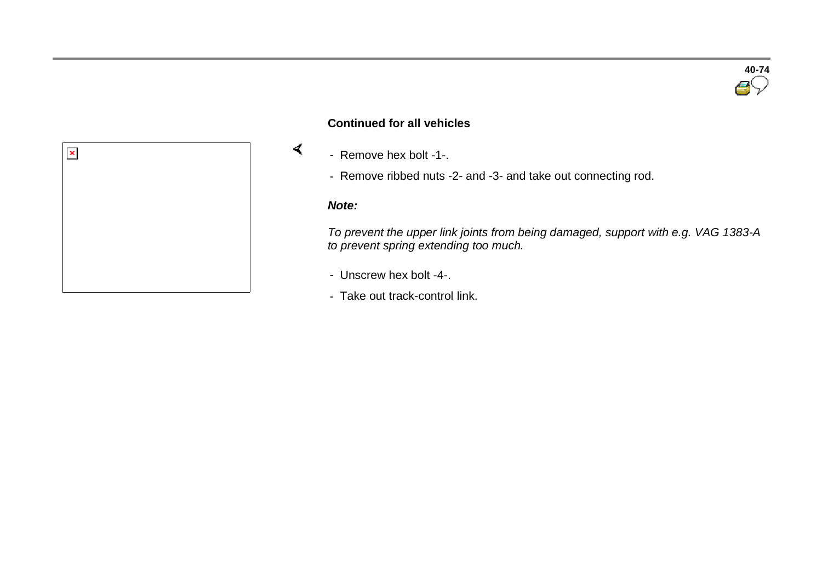

#### **Continued for all vehicles**

- Remove hex bolt -1-.
- Remove ribbed nuts -2- and -3- and take out connecting rod.

#### *Note:*

 $\prec$ 

*To prevent the upper link joints from being damaged, support with e.g. VAG 1383-A to prevent spring extending too much.*

- Unscrew hex bolt -4-.
- Take out track-control link.

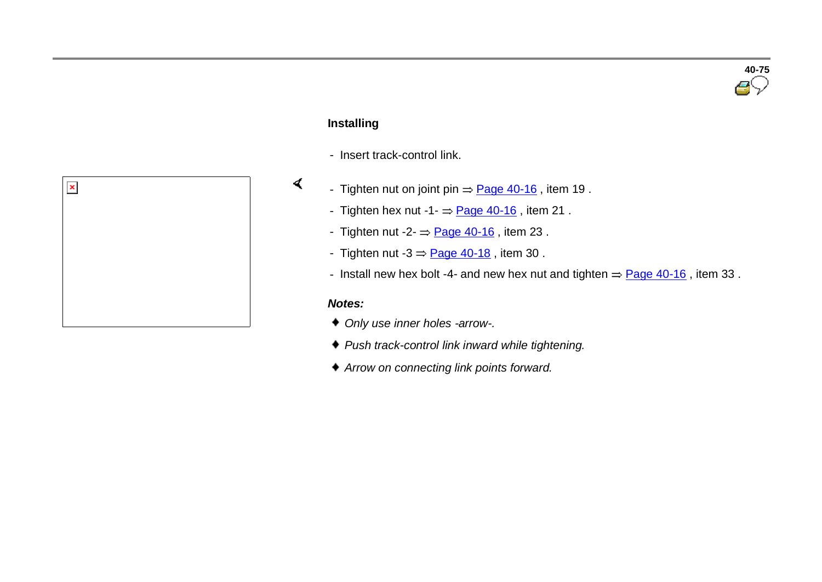# **40-75**

### **Installing**

 $\blacktriangleleft$ 

- Insert track-control link.



- Tighten nut on joint pin  $\Rightarrow$  Page 40-16, item 19.
	- Tighten hex nut  $-1 =$  Page 40-16, item 21.
	- Tighten nut  $-2 = \text{Page } 40-16$ , item 23.
	- Tighten nut  $-3 = \text{Page } 40 18$ , item 30.
	- Install new hex bolt -4- and new hex nut and tighten  $=$  Page 40-16, item 33.

#### *Notes:*

- *Only use inner holes -arrow-.*
- *Push track-control link inward while tightening.*
- *Arrow on connecting link points forward.*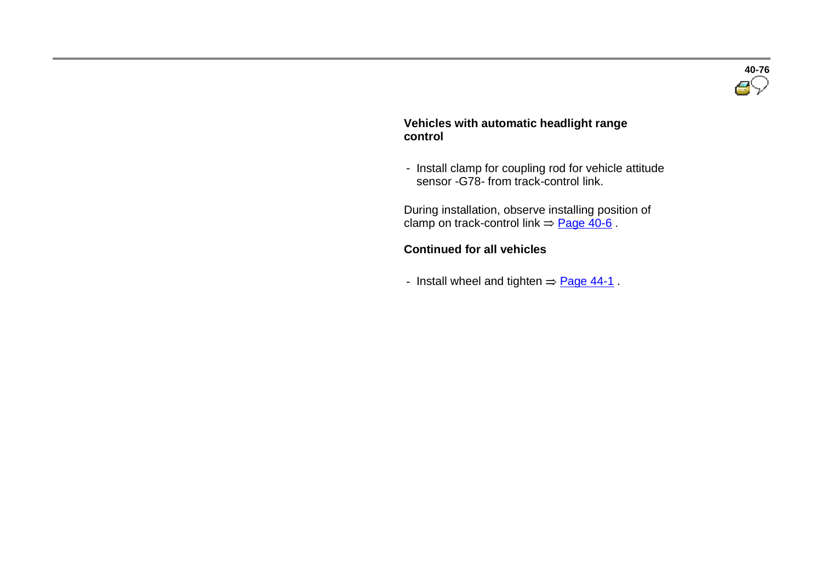

#### **Vehicles with automatic headlight range control**

- Install clamp for coupling rod for vehicle attitude sensor -G78- from track-control link.

 During installation, observe installing position of clamp on track-control link  $=$  Page 40-6.

#### **Continued for all vehicles**

- Install wheel and tighten  $=$  Page 44-1.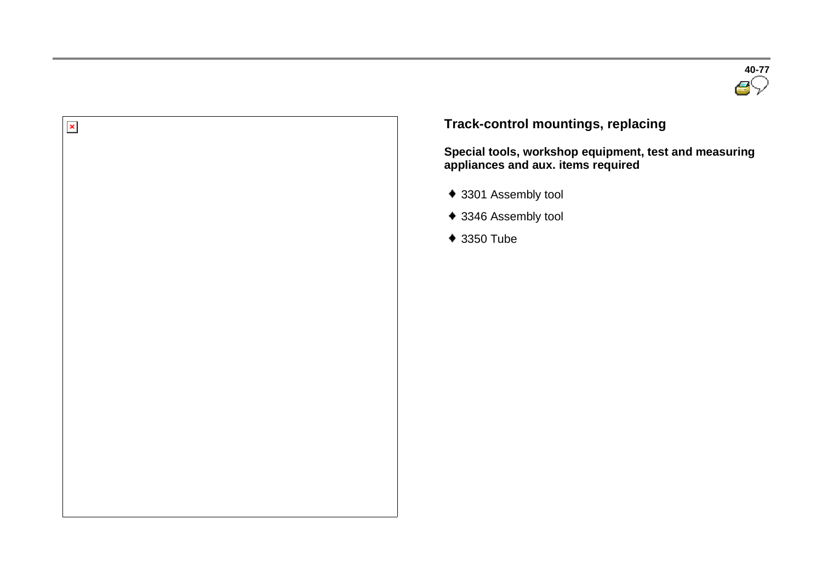



**Track-control mountings, replacing** 

**Special tools, workshop equipment, test and measuring appliances and aux. items required** 

- 3301 Assembly tool
- ◆ 3346 Assembly tool
- 3350 Tube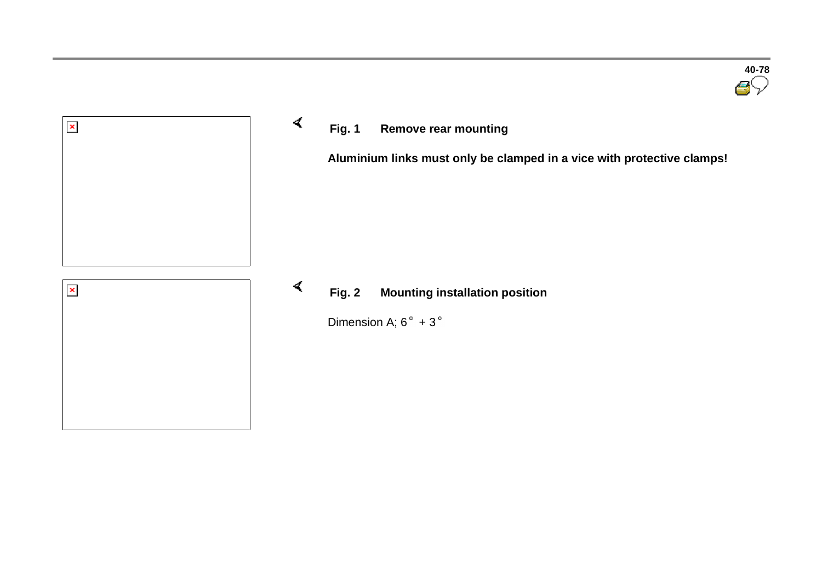

## **Fig. 1 Remove rear mounting**

**Aluminium links must only be clamped in a vice with protective clamps!**

#### $\blacktriangleleft$ **Fig. 2 Mounting installation position**

Dimension A;  $6^\circ + 3^\circ$ 

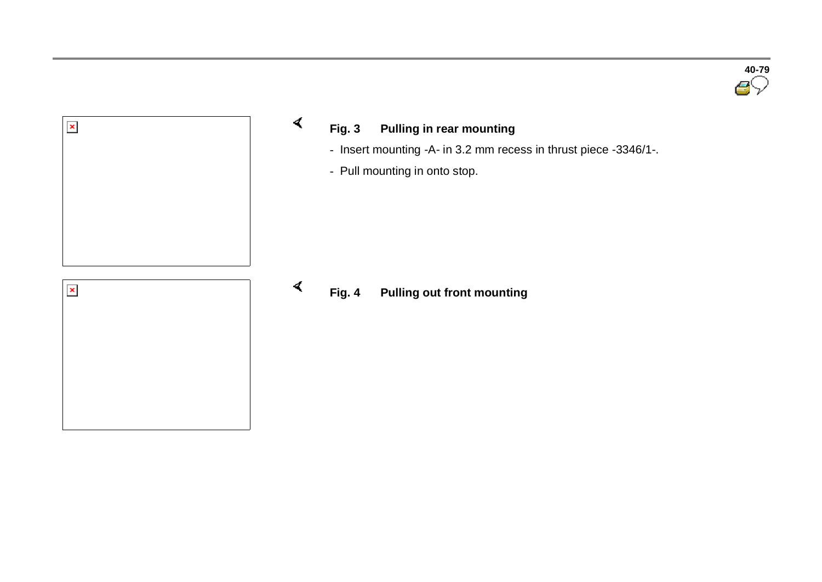



- **Fig. 3 Pulling in rear mounting**
	- Insert mounting -A- in 3.2 mm recess in thrust piece -3346/1-.
	- Pull mounting in onto stop.

 $\prec$ 

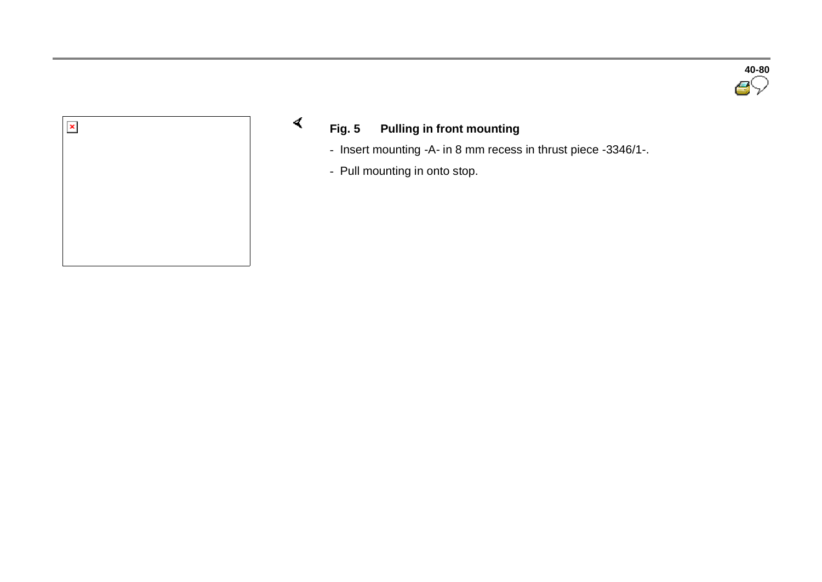



## **Fig. 5 Pulling in front mounting**

- Insert mounting -A- in 8 mm recess in thrust piece -3346/1-.
- Pull mounting in onto stop.

 $\prec$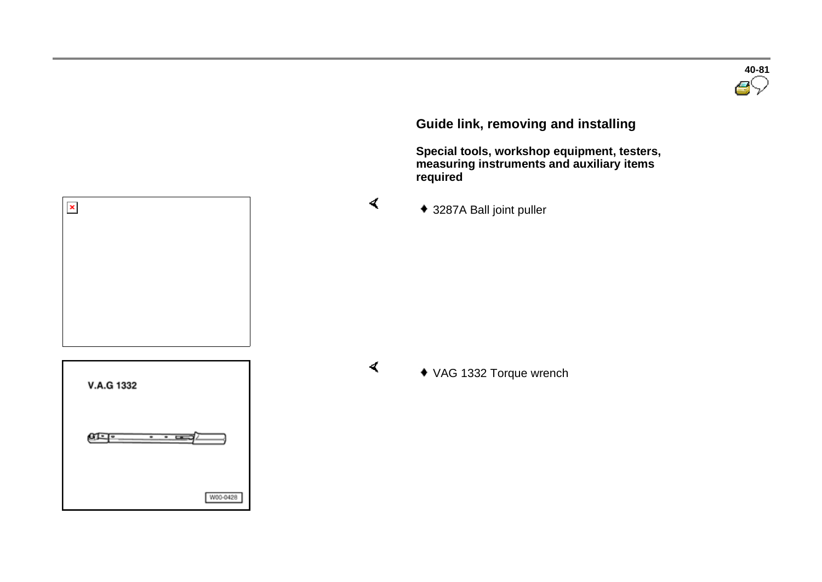**Guide link, removing and installing**

 **Special tools, workshop equipment, testers, measuring instruments and auxiliary items required** 

3287A Ball joint puller

V.A.G 1332 ளு W00-0428

 $\pmb{\times}$ 

 $\blacktriangleleft$ 

 $\blacktriangleleft$ 

VAG 1332 Torque wrench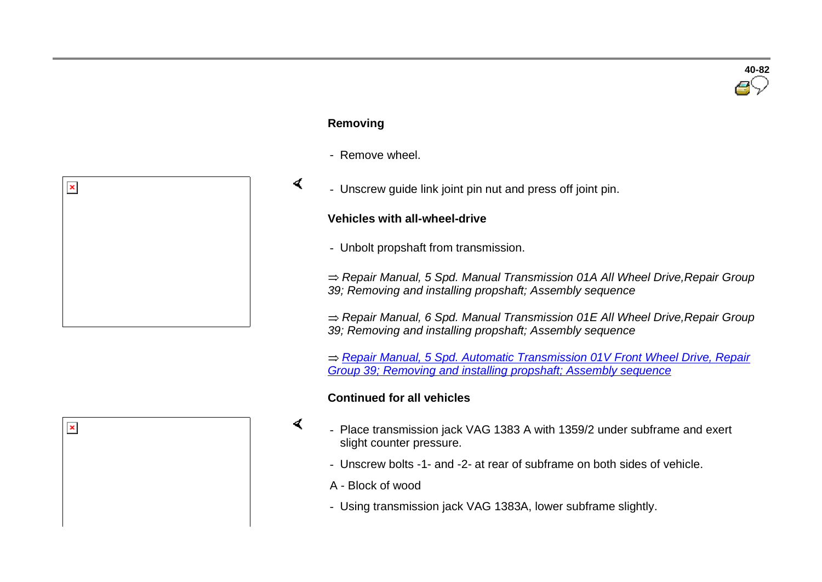#### **Removing**

 $\blacktriangleleft$ 

 $\blacktriangleleft$ 

- Remove wheel.
- Unscrew guide link joint pin nut and press off joint pin.

#### **Vehicles with all-wheel-drive**

- Unbolt propshaft from transmission.

*Repair Manual, 5 Spd. Manual Transmission 01A All Wheel Drive,Repair Group 39; Removing and installing propshaft; Assembly sequence*

*Repair Manual, 6 Spd. Manual Transmission 01E All Wheel Drive,Repair Group 39; Removing and installing propshaft; Assembly sequence*

*Repair Manual, 5 Spd. Automatic Transmission 01V Front Wheel Drive, Repair Group 39; Removing and installing propshaft; Assembly sequence*

#### **Continued for all vehicles**

- Place transmission jack VAG 1383 A with 1359/2 under subframe and exert slight counter pressure.
	- Unscrew bolts -1- and -2- at rear of subframe on both sides of vehicle.
	- A Block of wood
	- Using transmission jack VAG 1383A, lower subframe slightly.



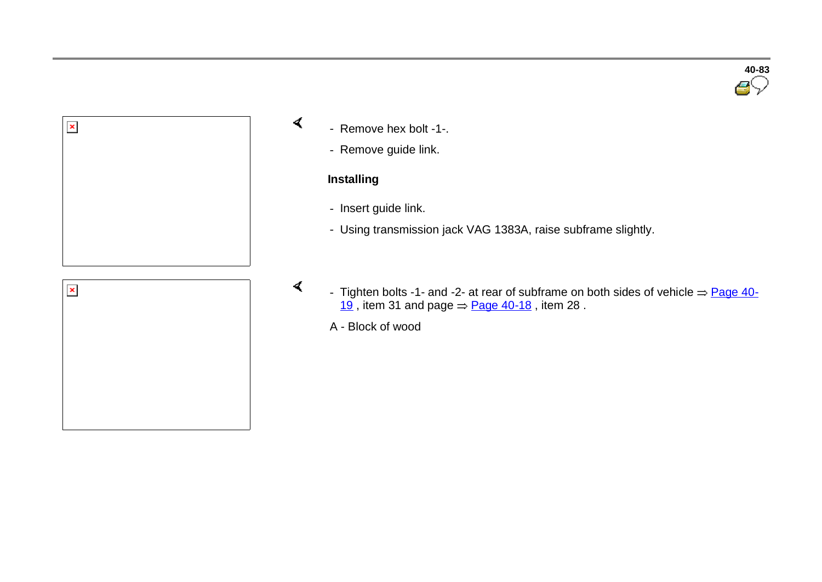

- Remove hex bolt -1-.
	- Remove guide link.

#### **Installing**

 $\prec$ 

 $\blacktriangleleft$ 

- Insert guide link.
- Using transmission jack VAG 1383A, raise subframe slightly.
- Tighten bolts -1- and -2- at rear of subframe on both sides of vehicle  $\Rightarrow$  Page 40-19, item 31 and page  $\Rightarrow$  Page 40-18, item 28.

A - Block of wood

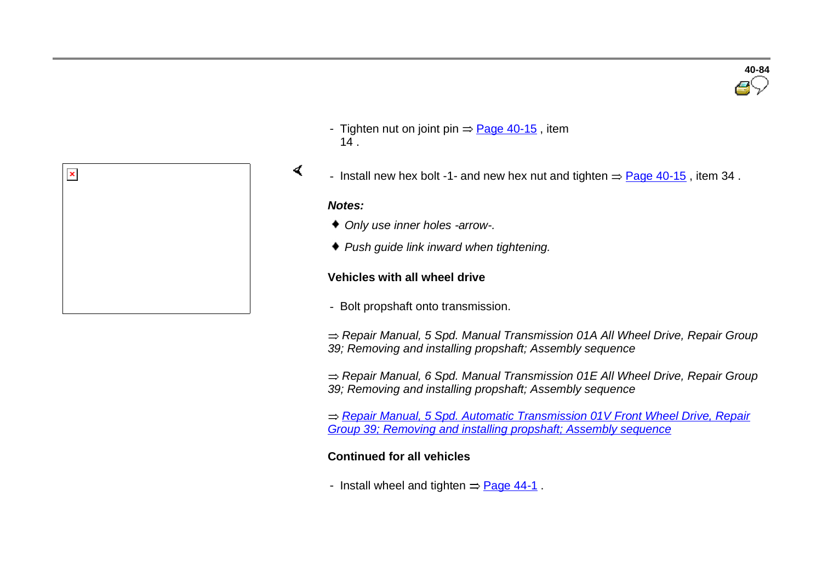

- Tighten nut on joint pin  $\Rightarrow$  Page 40-15, item  $14.$
- Install new hex bolt -1- and new hex nut and tighten  $=$  Page 40-15, item 34.

#### *Notes:*

 $\blacktriangleleft$ 

- *Only use inner holes -arrow-.*
- *Push guide link inward when tightening.*

#### **Vehicles with all wheel drive**

- Bolt propshaft onto transmission.

*Repair Manual, 5 Spd. Manual Transmission 01A All Wheel Drive, Repair Group 39; Removing and installing propshaft; Assembly sequence*

*Repair Manual, 6 Spd. Manual Transmission 01E All Wheel Drive, Repair Group 39; Removing and installing propshaft; Assembly sequence*

*Repair Manual, 5 Spd. Automatic Transmission 01V Front Wheel Drive, Repair Group 39; Removing and installing propshaft; Assembly sequence*

#### **Continued for all vehicles**

- Install wheel and tighten  $=$  Page 44-1.

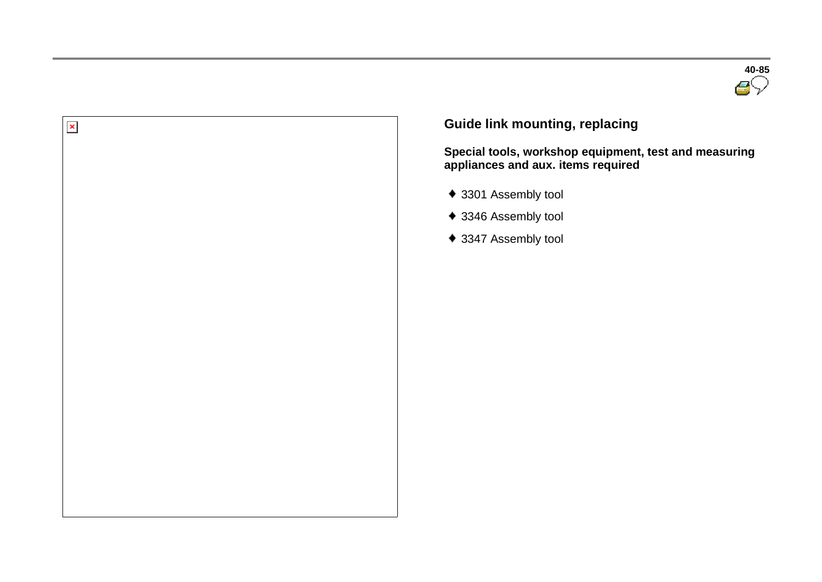



## **Guide link mounting, replacing**

**Special tools, workshop equipment, test and measuring appliances and aux. items required** 

- 3301 Assembly tool
- ◆ 3346 Assembly tool
- 3347 Assembly tool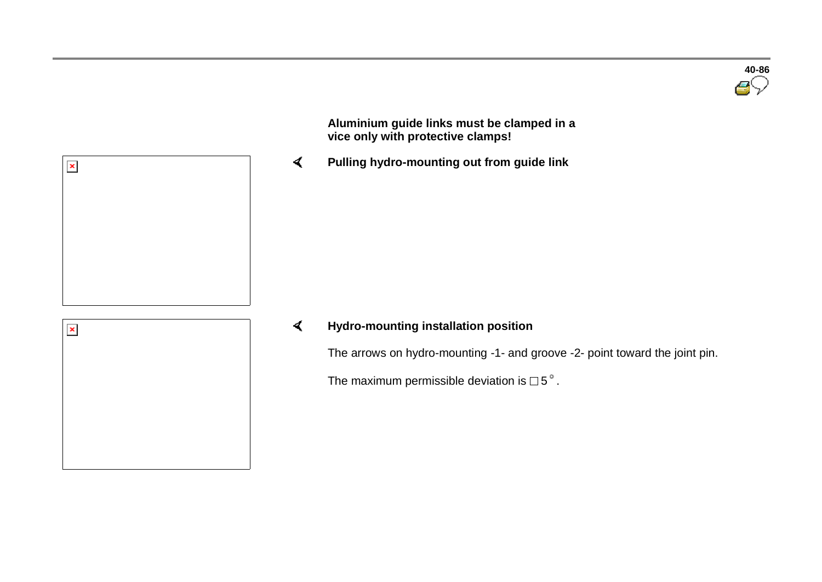

 **Aluminium guide links must be clamped in a vice only with protective clamps!**

 $\blacktriangleleft$ **Pulling hydro-mounting out from guide link**



 $\pmb{\times}$ 

#### $\blacktriangleleft$ **Hydro-mounting installation position**

The arrows on hydro-mounting -1- and groove -2- point toward the joint pin.

The maximum permissible deviation is  $\Box$  5°.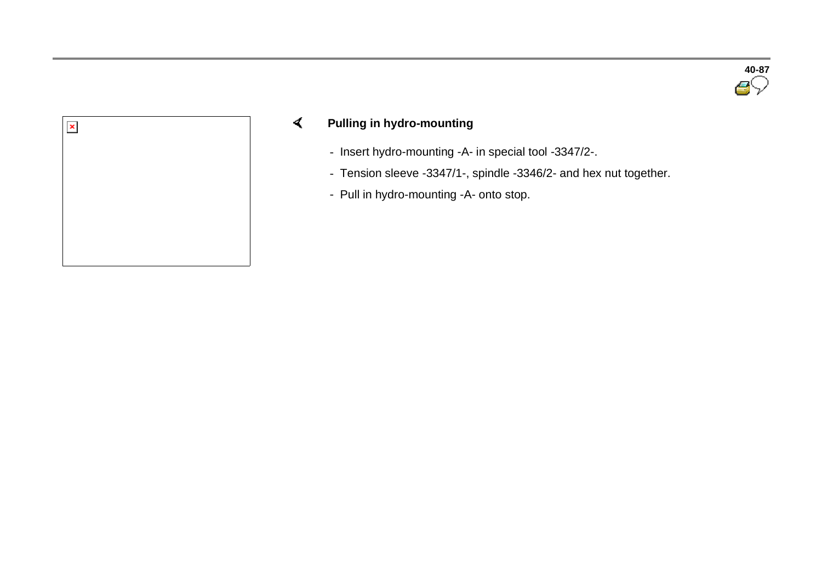



#### $\prec$ **Pulling in hydro-mounting**

- Insert hydro-mounting -A- in special tool -3347/2-.
- Tension sleeve -3347/1-, spindle -3346/2- and hex nut together.
- Pull in hydro-mounting -A- onto stop.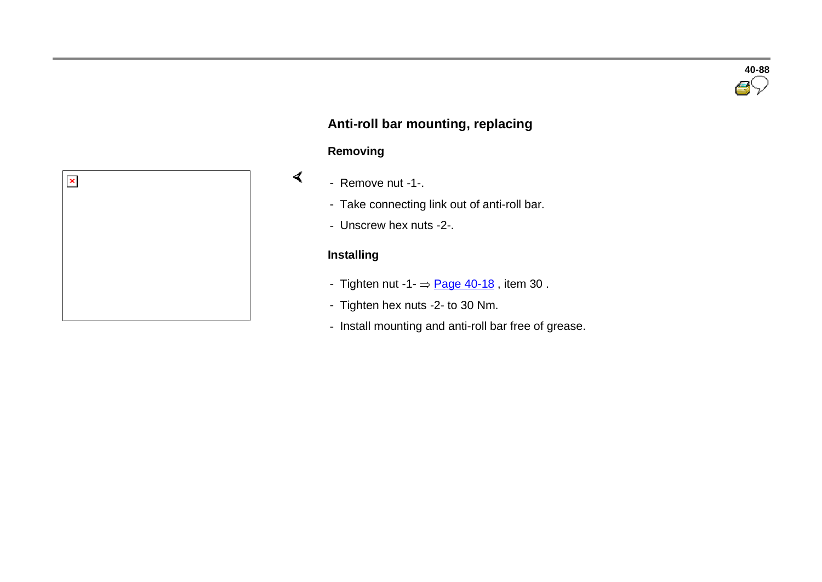

## **Anti-roll bar mounting, replacing**

#### **Removing**

 $\blacktriangleleft$ 

- Remove nut -1-.
	- Take connecting link out of anti-roll bar.
	- Unscrew hex nuts -2-.

#### **Installing**

- Tighten nut  $-1 \frac{Page 40-18}{Type 30}$ , item 30.
- Tighten hex nuts -2- to 30 Nm.
- Install mounting and anti-roll bar free of grease.

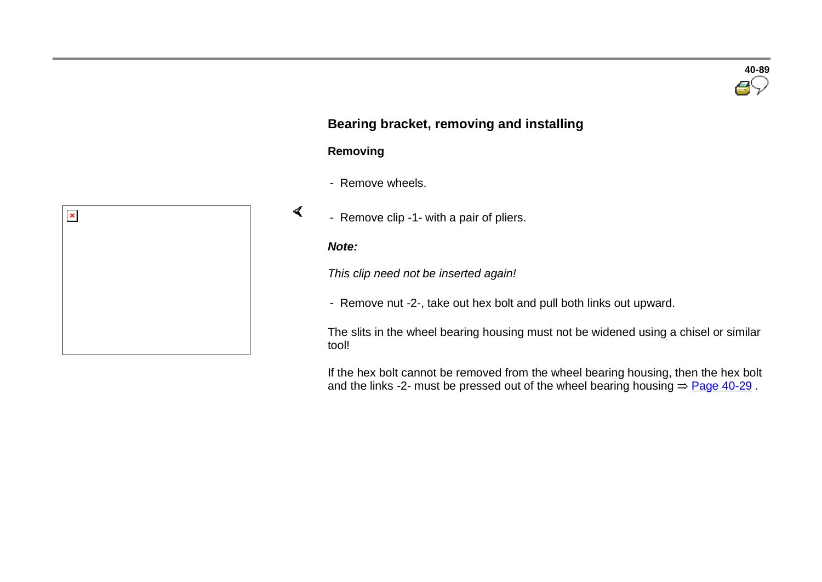### **Bearing bracket, removing and installing**

#### **Removing**

- Remove wheels.
- Remove clip -1- with a pair of pliers.

#### *Note:*

 $\prec$ 

*This clip need not be inserted again!*

- Remove nut -2-, take out hex bolt and pull both links out upward.

The slits in the wheel bearing housing must not be widened using a chisel or similar tool!

If the hex bolt cannot be removed from the wheel bearing housing, then the hex bolt and the links -2- must be pressed out of the wheel bearing housing  $=$  Page 40-29.

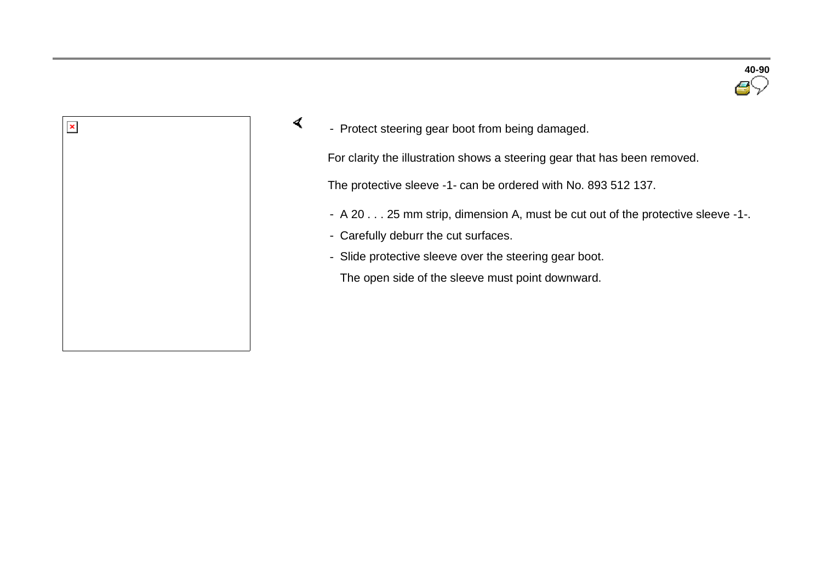



 $\sigma$ - Protect steering gear boot from being damaged.

For clarity the illustration shows a steering gear that has been removed.

The protective sleeve -1- can be ordered with No. 893 512 137.

- A 20 . . . 25 mm strip, dimension A, must be cut out of the protective sleeve -1-.
- Carefully deburr the cut surfaces.
- Slide protective sleeve over the steering gear boot.

The open side of the sleeve must point downward.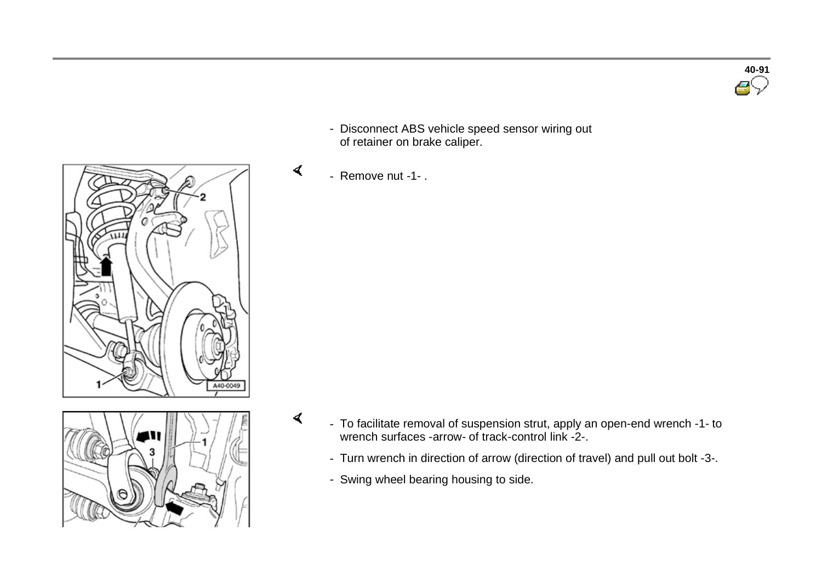- Disconnect ABS vehicle speed sensor wiring out of retainer on brake caliper.
- Remove nut -1- .

 $\blacktriangleleft$ 

 $\blacktriangleleft$ 

- To facilitate removal of suspension strut, apply an open-end wrench -1- to wrench surfaces -arrow- of track-control link -2-.
	- Turn wrench in direction of arrow (direction of travel) and pull out bolt -3-.
	- Swing wheel bearing housing to side.





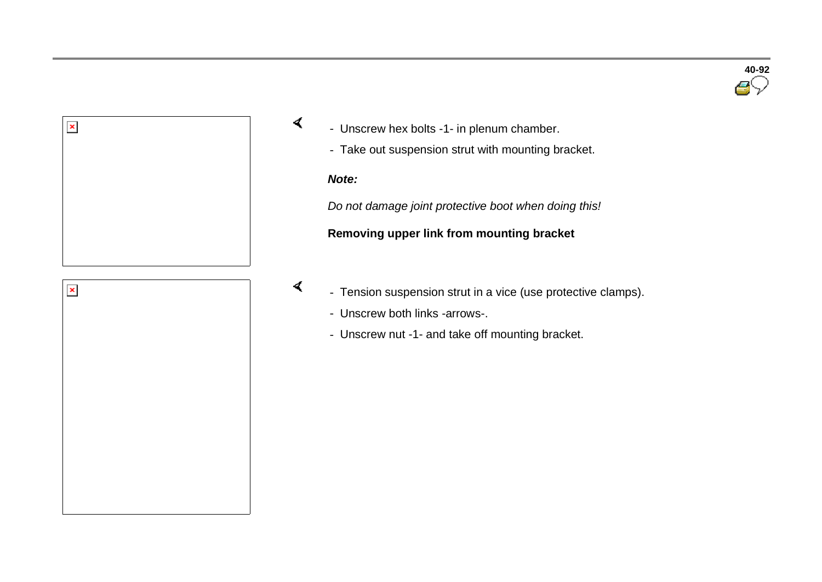



- Unscrew hex bolts -1- in plenum chamber.
	- Take out suspension strut with mounting bracket.

#### *Note:*

 $\sigma$ 

 $\blacktriangleleft$ 

*Do not damage joint protective boot when doing this!*

#### **Removing upper link from mounting bracket**

- Tension suspension strut in a vice (use protective clamps).
	- Unscrew both links -arrows-.
	- Unscrew nut -1- and take off mounting bracket.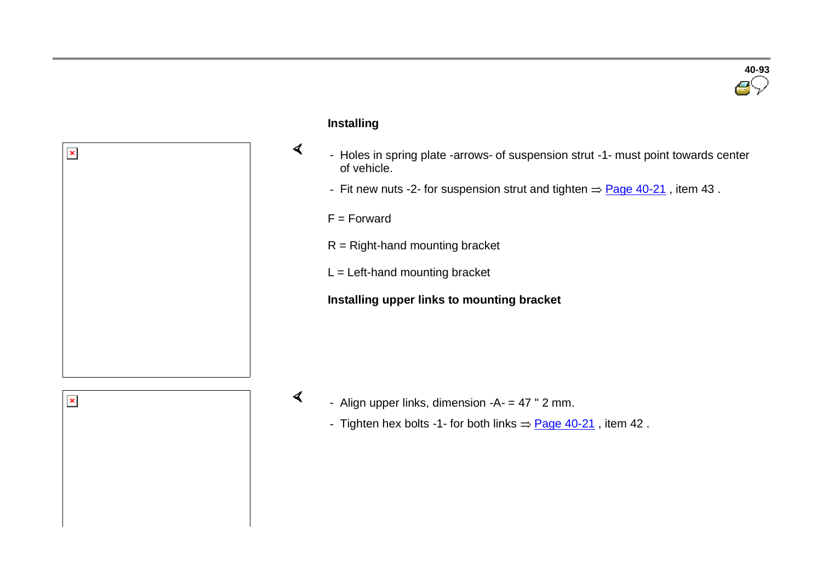

#### **Installing**

 $\blacktriangleleft$ 

 $\blacktriangleleft$ 

- Holes in spring plate -arrows- of suspension strut -1- must point towards center of vehicle.
- Fit new nuts -2- for suspension strut and tighten  $\Rightarrow$  Page 40-21, item 43.

 $F =$ Forward

- $R =$  Right-hand mounting bracket
- $L =$  Left-hand mounting bracket

#### **Installing upper links to mounting bracket**



 $\pmb{\times}$ 

- Align upper links, dimension  $-A$  = 47 " 2 mm.
	- Tighten hex bolts -1- for both links  $\Rightarrow$  Page 40-21, item 42.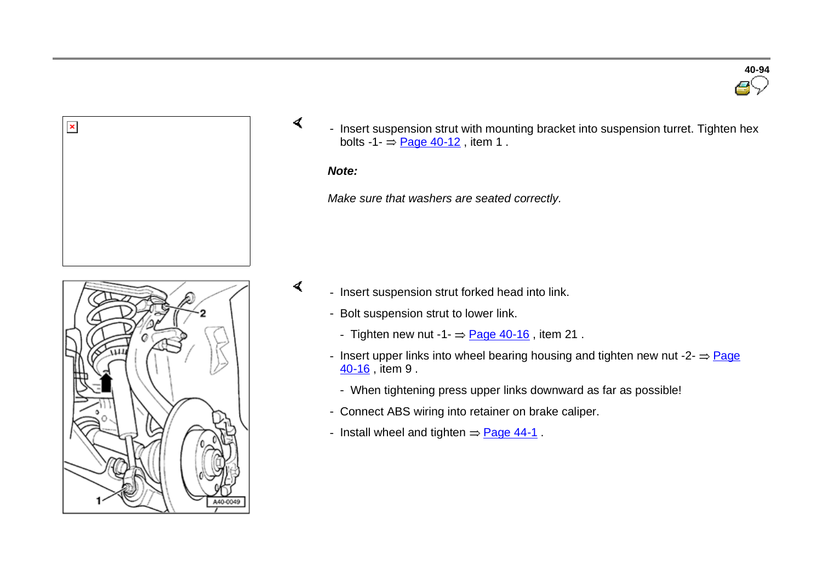

- Insert suspension strut with mounting bracket into suspension turret. Tighten hex bolts -1- $\Rightarrow$  Page 40-12, item 1.

**40-94**

#### *Note:*

 $\prec$ 

 $\blacktriangleleft$ 

*Make sure that washers are seated correctly.*



- Insert suspension strut forked head into link.
	- Bolt suspension strut to lower link.
		- Tighten new nut  $-1 =$  Page 40-16, item 21.
	- Insert upper links into wheel bearing housing and tighten new nut  $-2 = Paqe$ 40-16 , item 9 .
		- When tightening press upper links downward as far as possible!
	- Connect ABS wiring into retainer on brake caliper.
	- Install wheel and tighten  $=$  Page 44-1.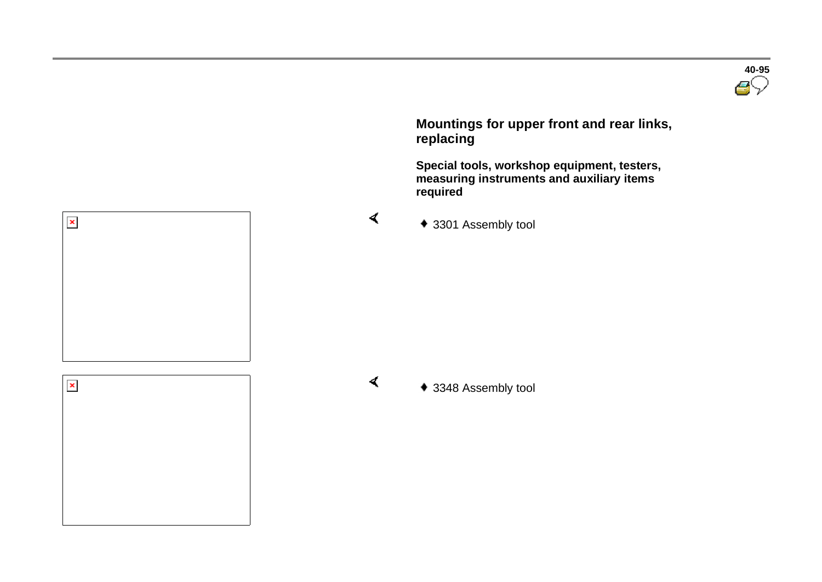

 **Mountings for upper front and rear links, replacing** 

 **Special tools, workshop equipment, testers, measuring instruments and auxiliary items required** 





 $\blacktriangleleft$ 

 $\blacktriangleleft$ 

◆ 3348 Assembly tool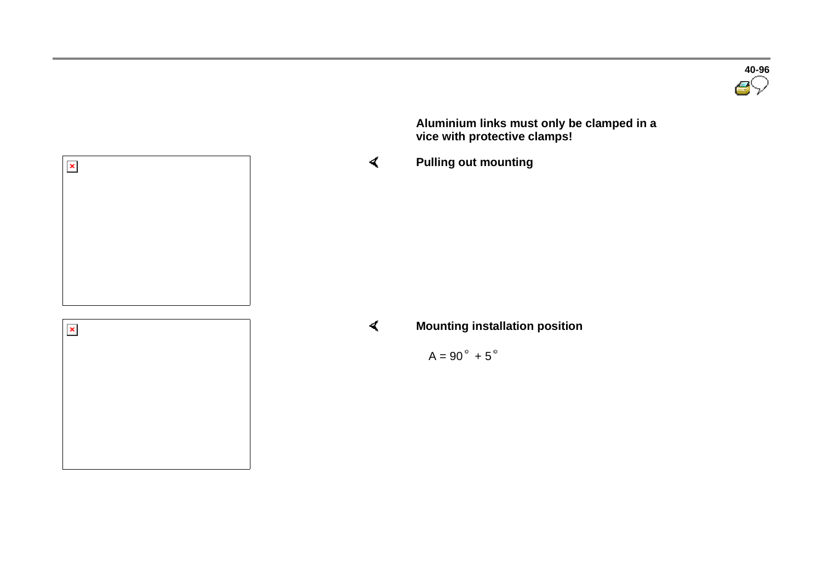**Aluminium links must only be clamped in a vice with protective clamps!**

**Pulling out mounting**





 $\blacktriangleleft$ 

**Mounting installation position**

 $A = 90^\circ + 5^\circ$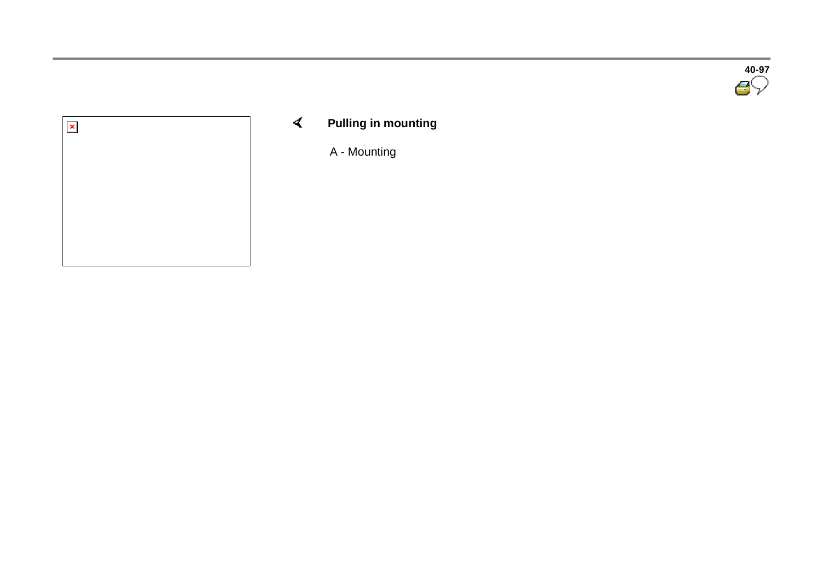



 $\blacktriangleleft$ **Pulling in mounting** 

A - Mounting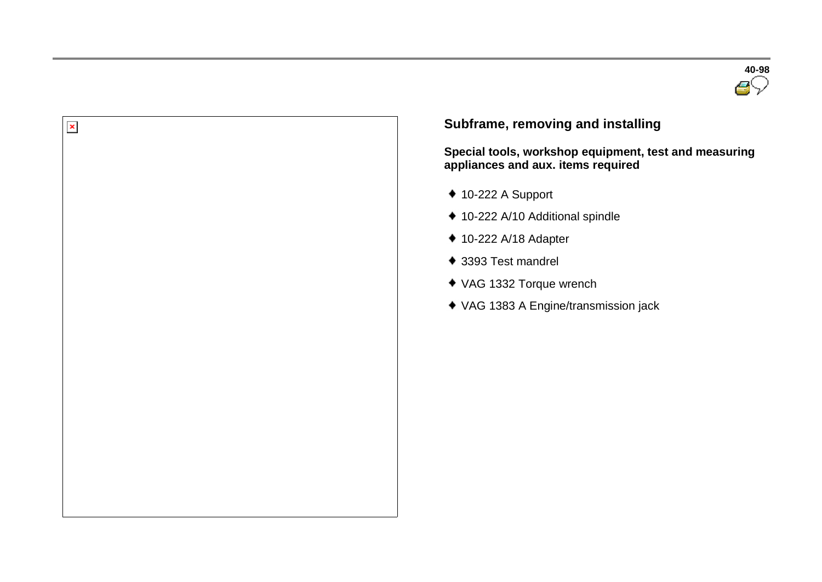



#### **Subframe, removing and installing**

**Special tools, workshop equipment, test and measuring appliances and aux. items required** 

- $*$  10-222 A Support
- ◆ 10-222 A/10 Additional spindle
- ◆ 10-222 A/18 Adapter
- ◆ 3393 Test mandrel
- VAG 1332 Torque wrench
- VAG 1383 A Engine/transmission jack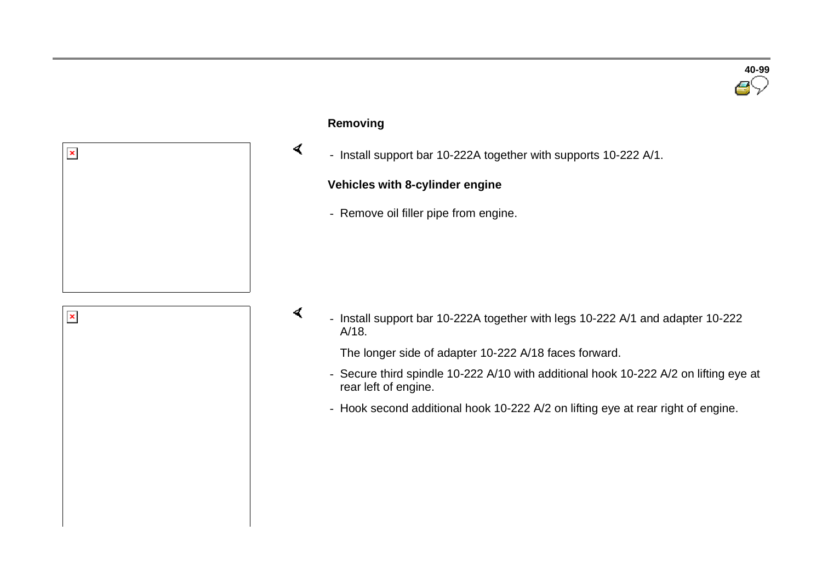

#### **Removing**

 $\blacktriangleleft$ 

 $\blacktriangleleft$ 

- Install support bar 10-222A together with supports 10-222 A/1.

#### **Vehicles with 8-cylinder engine**

- Remove oil filler pipe from engine.



 - Install support bar 10-222A together with legs 10-222 A/1 and adapter 10-222 A/18.

The longer side of adapter 10-222 A/18 faces forward.

- Secure third spindle 10-222 A/10 with additional hook 10-222 A/2 on lifting eye at rear left of engine.
- Hook second additional hook 10-222 A/2 on lifting eye at rear right of engine.

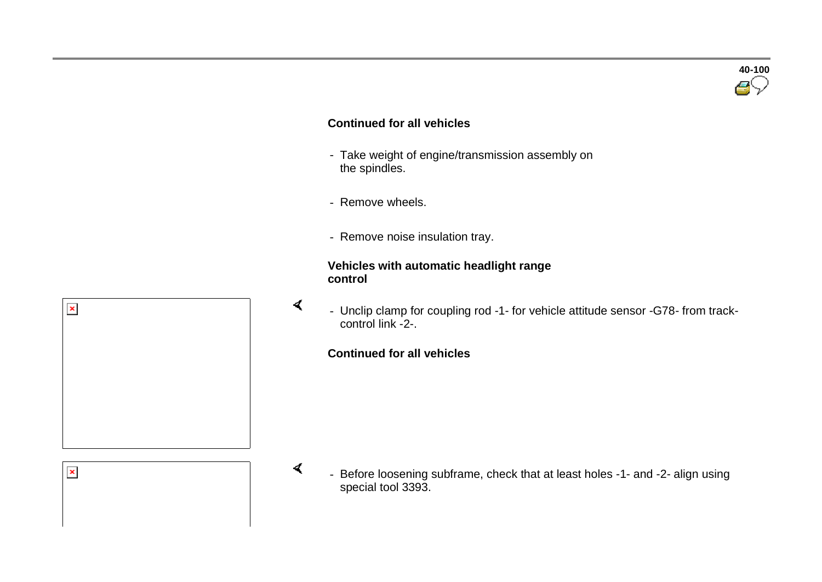#### **Continued for all vehicles**

- Take weight of engine/transmission assembly on the spindles.
- Remove wheels.

 $\prec$ 

 $\sigma$ 

- Remove noise insulation tray.

#### **Vehicles with automatic headlight range control**



- Unclip clamp for coupling rod -1- for vehicle attitude sensor -G78- from trackcontrol link -2-.

#### **Continued for all vehicles**



Before loosening subframe, check that at least holes -1- and -2- align using special tool 3393.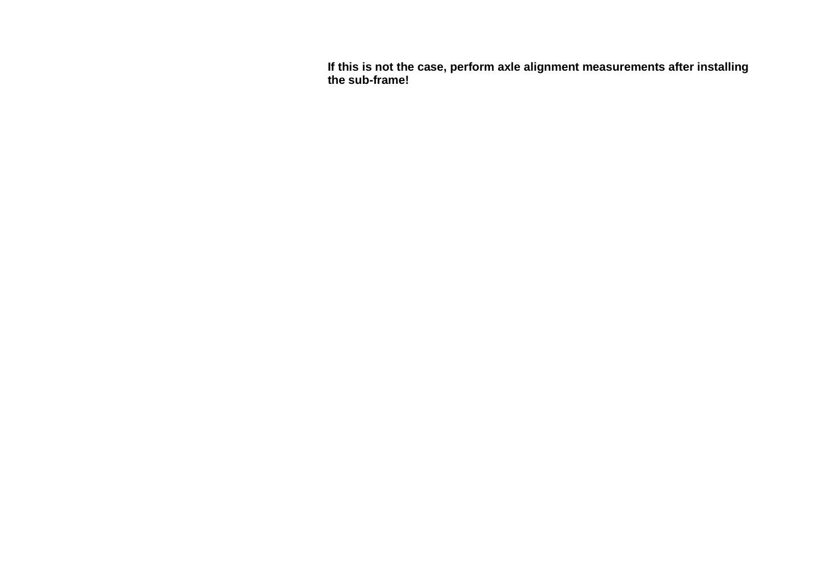**If this is not the case, perform axle alignment measurements after installing the sub-frame!**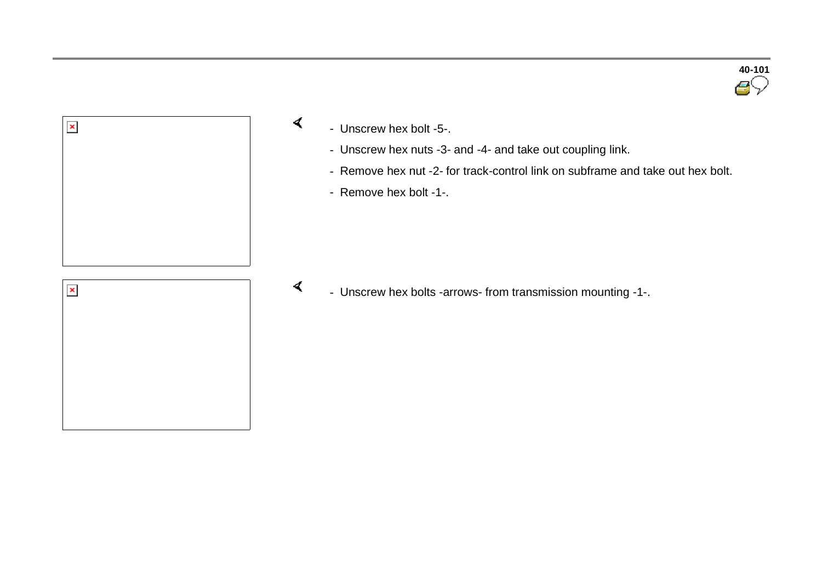



- Unscrew hex nuts -3- and -4- and take out coupling link.
- Remove hex nut -2- for track-control link on subframe and take out hex bolt.

- Remove hex bolt -1-.

 $\blacktriangleleft$ - Unscrew hex bolts -arrows- from transmission mounting -1-.

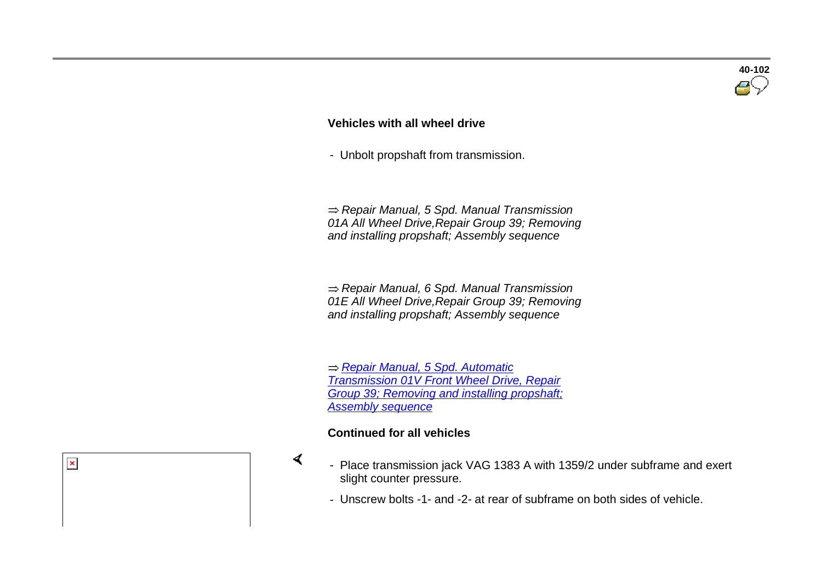## **Vehicles with all wheel drive**

- Unbolt propshaft from transmission.

 *Repair Manual, 5 Spd. Manual Transmission 01A All Wheel Drive,Repair Group 39; Removing and installing propshaft; Assembly sequence*

 *Repair Manual, 6 Spd. Manual Transmission 01E All Wheel Drive,Repair Group 39; Removing and installing propshaft; Assembly sequence*

 *Repair Manual, 5 Spd. Automatic Transmission 01V Front Wheel Drive, Repair Group 39; Removing and installing propshaft; Assembly sequence*

#### **Continued for all vehicles**

 $\pmb{\times}$ 

 $\prec$ 

- Place transmission jack VAG 1383 A with 1359/2 under subframe and exert slight counter pressure.
- Unscrew bolts -1- and -2- at rear of subframe on both sides of vehicle.

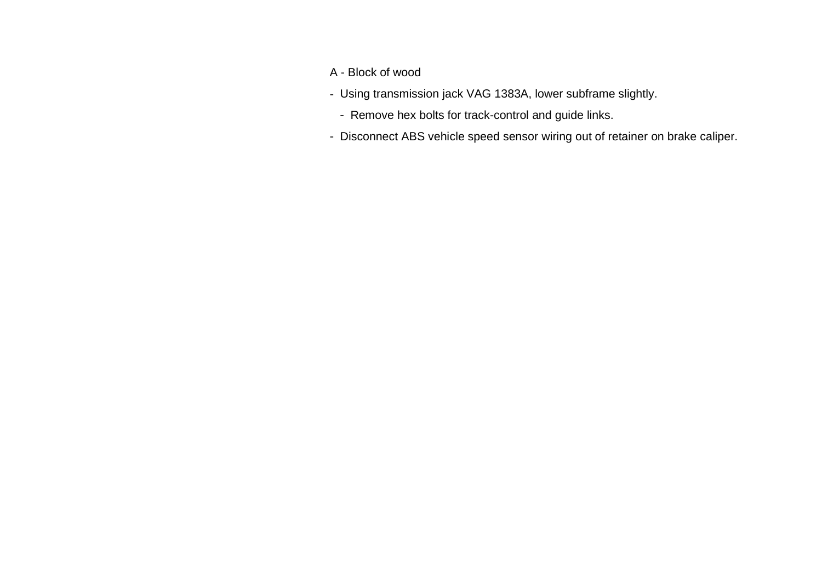- A Block of wood
- Using transmission jack VAG 1383A, lower subframe slightly.
	- Remove hex bolts for track-control and guide links.
- Disconnect ABS vehicle speed sensor wiring out of retainer on brake caliper.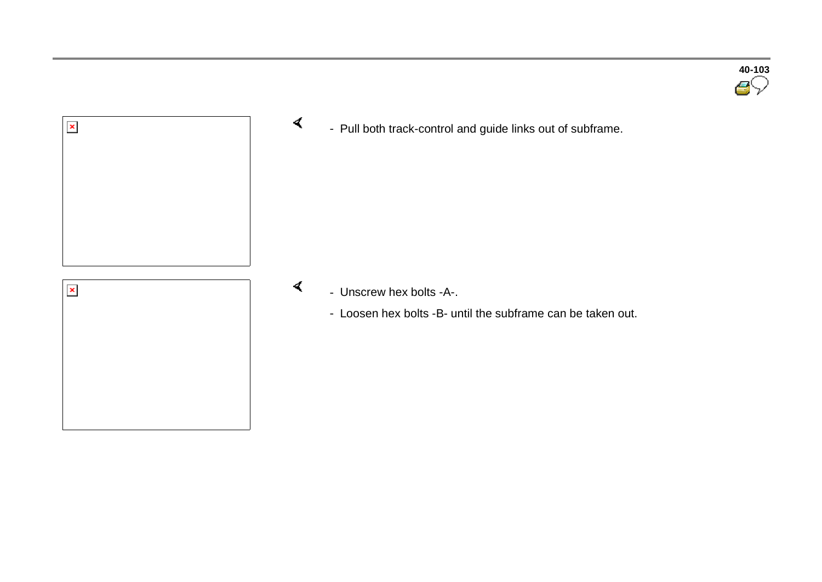



 $\blacktriangleleft$ - Pull both track-control and guide links out of subframe.

- Unscrew hex bolts -A-.

 $\blacktriangleleft$ 

- Loosen hex bolts -B- until the subframe can be taken out.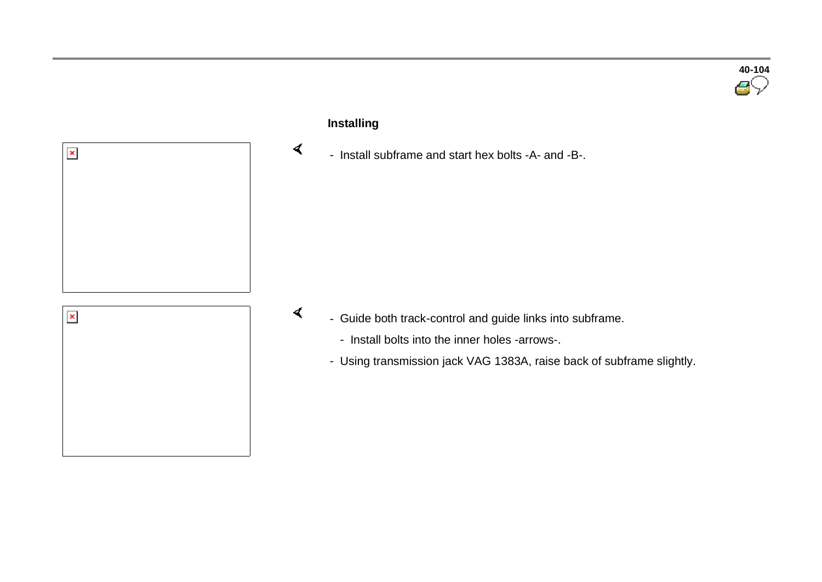

# $\mathbf{x}$

#### **Installing**

 $\prec$ 

 $\sigma$ 

- Install subframe and start hex bolts -A- and -B-.

- Guide both track-control and guide links into subframe.
	- Install bolts into the inner holes -arrows-.
	- Using transmission jack VAG 1383A, raise back of subframe slightly.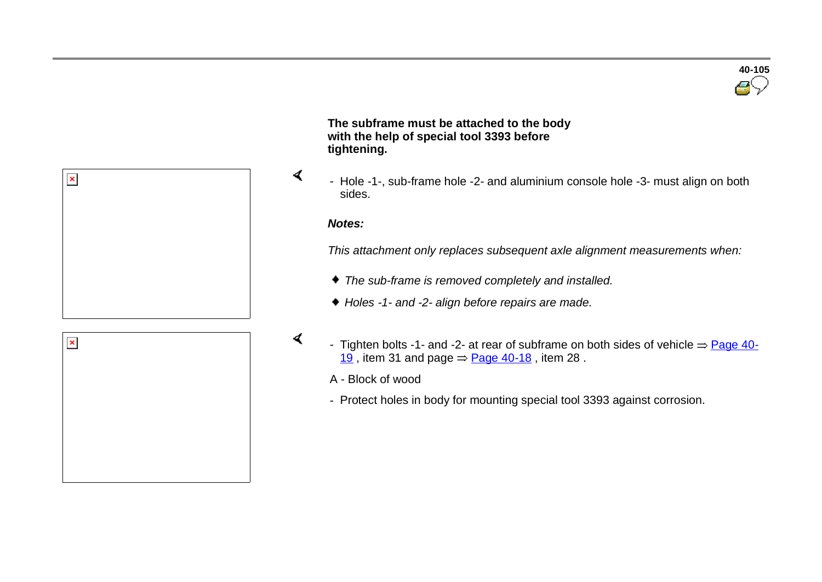

 **The subframe must be attached to the body with the help of special tool 3393 before tightening.**

- Hole -1-, sub-frame hole -2- and aluminium console hole -3- must align on both sides.

#### *Notes:*

 $\blacktriangleleft$ 

 $\mathcal{L}$ 

*This attachment only replaces subsequent axle alignment measurements when:*

- *The sub-frame is removed completely and installed.*
- *Holes -1- and -2- align before repairs are made.*
- Tighten bolts -1- and -2- at rear of subframe on both sides of vehicle  $\Rightarrow$  Page 40-19, item 31 and page  $\Rightarrow$  Page 40-18, item 28.
	- A Block of wood
	- Protect holes in body for mounting special tool 3393 against corrosion.

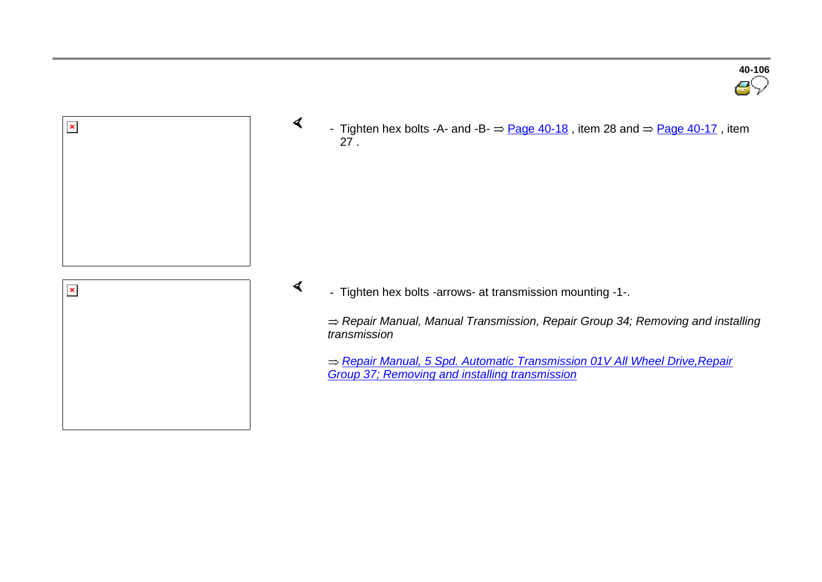

 $\sigma$ 

 $\blacktriangleleft$ 

- Tighten hex bolts -A- and -B-  $\Rightarrow$  Page 40-18, item 28 and  $\Rightarrow$  Page 40-17, item 27 .

- Tighten hex bolts -arrows- at transmission mounting -1-.

*Repair Manual, Manual Transmission, Repair Group 34; Removing and installing transmission*

*Repair Manual, 5 Spd. Automatic Transmission 01V All Wheel Drive,Repair Group 37; Removing and installing transmission*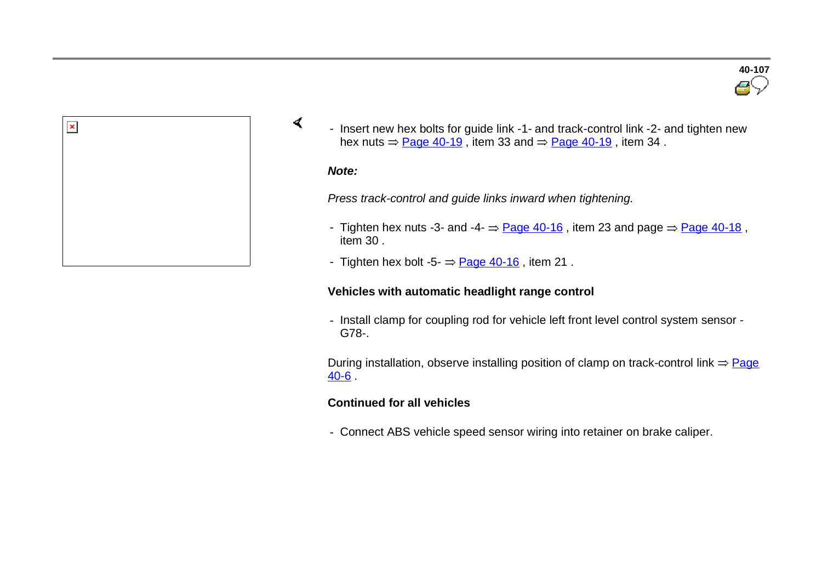

- Insert new hex bolts for guide link -1- and track-control link -2- and tighten new hex nuts  $\Rightarrow$  Page 40-19, item 33 and  $\Rightarrow$  Page 40-19, item 34.

#### *Note:*

 $\prec$ 

*Press track-control and guide links inward when tightening.*

- Tighten hex nuts -3- and -4-  $\Rightarrow$  Page 40-16, item 23 and page  $\Rightarrow$  Page 40-18, item 30 .
- Tighten hex bolt -5- $\frac{Page 40-16}{Type 40-16}$ , item 21.

#### **Vehicles with automatic headlight range control**

- Install clamp for coupling rod for vehicle left front level control system sensor - G78-.

During installation, observe installing position of clamp on track-control link  $\Rightarrow$  Page 40-6 .

#### **Continued for all vehicles**

- Connect ABS vehicle speed sensor wiring into retainer on brake caliper.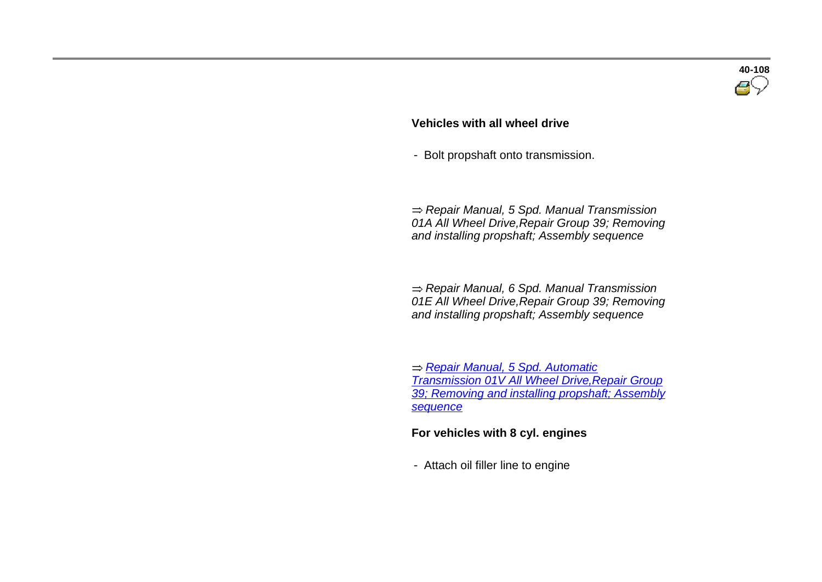#### **Vehicles with all wheel drive**

- Bolt propshaft onto transmission.

 *Repair Manual, 5 Spd. Manual Transmission 01A All Wheel Drive,Repair Group 39; Removing and installing propshaft; Assembly sequence*

 *Repair Manual, 6 Spd. Manual Transmission 01E All Wheel Drive,Repair Group 39; Removing and installing propshaft; Assembly sequence*

 *Repair Manual, 5 Spd. Automatic Transmission 01V All Wheel Drive,Repair Group 39; Removing and installing propshaft; Assembly sequence*

#### **For vehicles with 8 cyl. engines**

- Attach oil filler line to engine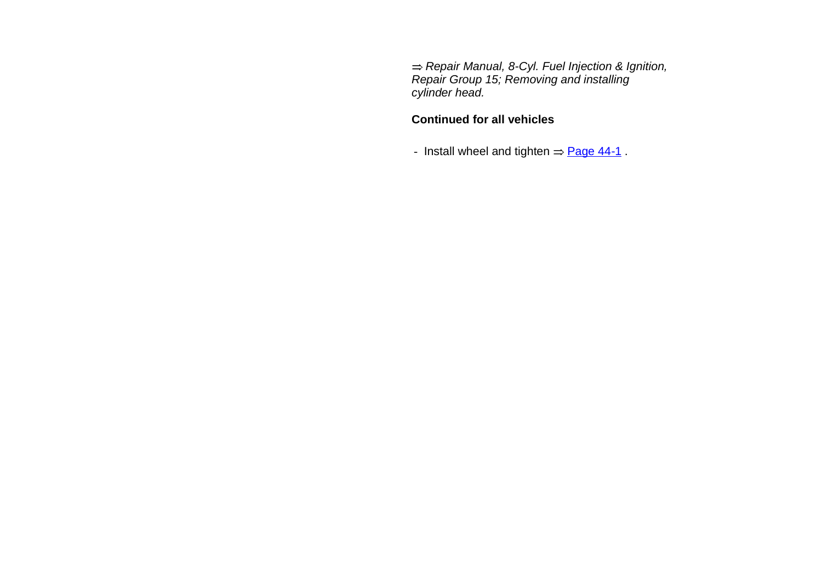*Repair Manual, 8-Cyl. Fuel Injection & Ignition, Repair Group 15; Removing and installing cylinder head.*

#### **Continued for all vehicles**

- Install wheel and tighten  $=$  Page 44-1.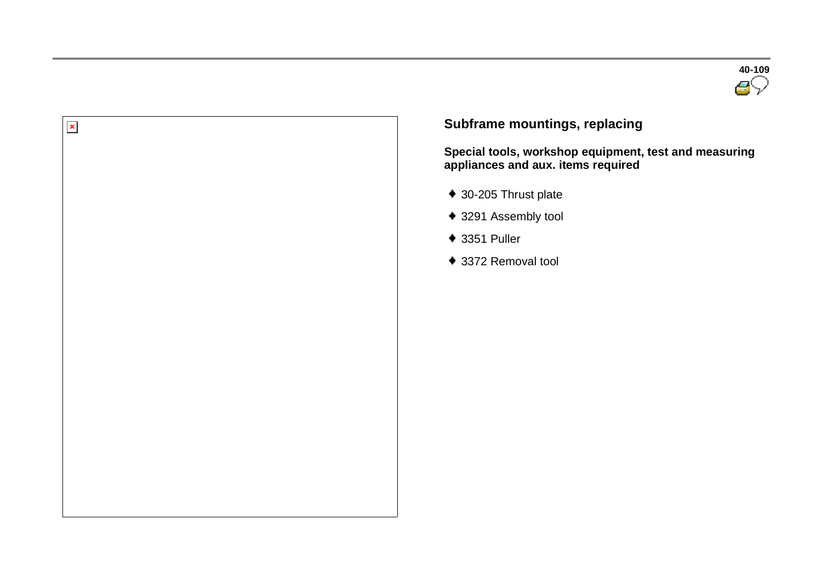



## **Subframe mountings, replacing**

**Special tools, workshop equipment, test and measuring appliances and aux. items required** 

- ◆ 30-205 Thrust plate
- ◆ 3291 Assembly tool
- ◆ 3351 Puller
- ◆ 3372 Removal tool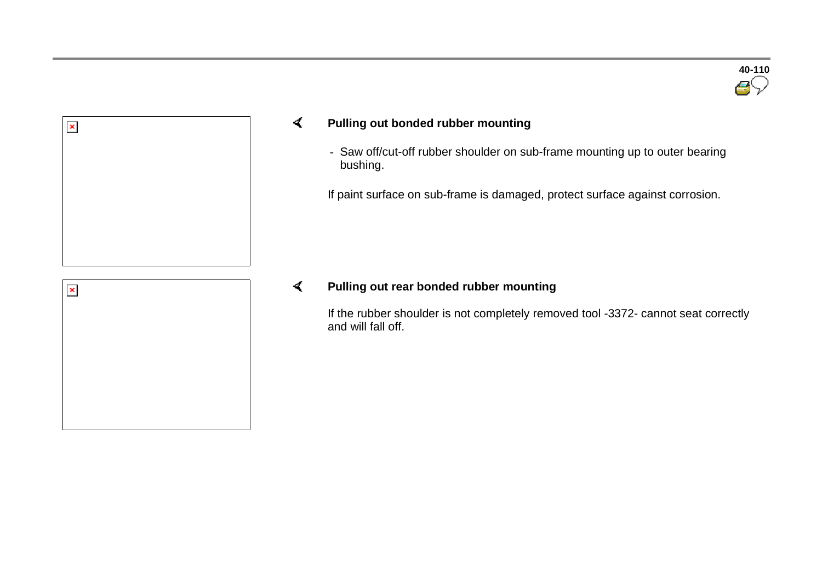

#### $\blacktriangleleft$ **Pulling out bonded rubber mounting**

- Saw off/cut-off rubber shoulder on sub-frame mounting up to outer bearing bushing.

If paint surface on sub-frame is damaged, protect surface against corrosion.

#### $\blacktriangleleft$ **Pulling out rear bonded rubber mounting**

If the rubber shoulder is not completely removed tool -3372- cannot seat correctly and will fall off.



 $\pmb{\times}$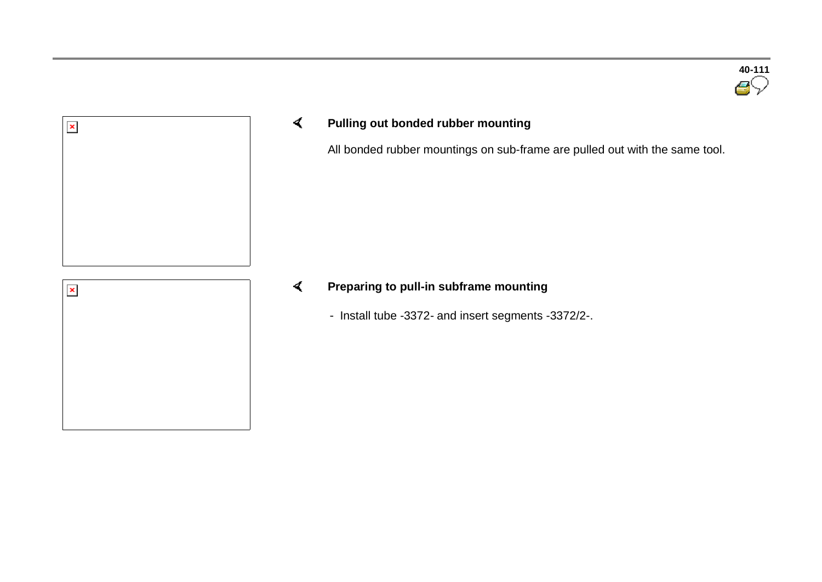



#### $\blacktriangleleft$ **Pulling out bonded rubber mounting**

All bonded rubber mountings on sub-frame are pulled out with the same tool.



#### $\blacktriangleleft$ **Preparing to pull-in subframe mounting**

- Install tube -3372- and insert segments -3372/2-.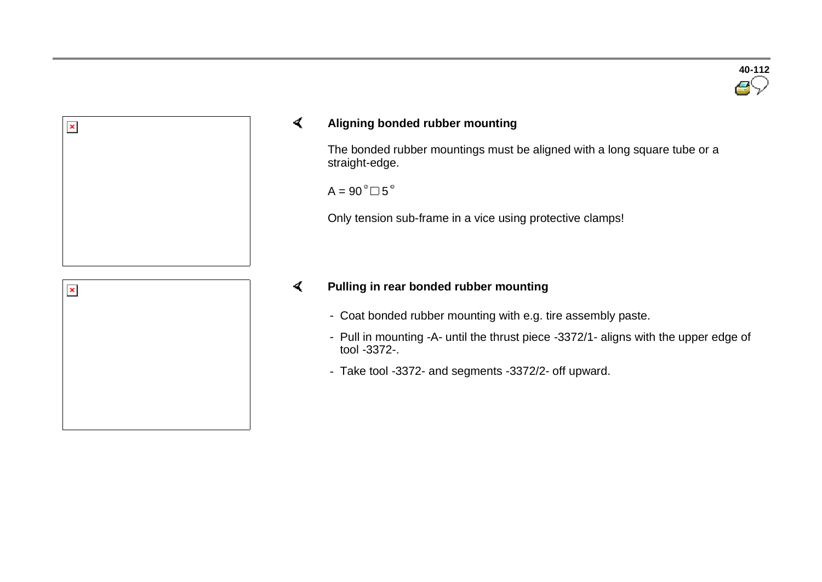

## $\prec$ **Aligning bonded rubber mounting**

The bonded rubber mountings must be aligned with a long square tube or a straight-edge.

 $A = 90^\circ \square 5^\circ$ 

Only tension sub-frame in a vice using protective clamps!

## $\blacktriangleleft$ **Pulling in rear bonded rubber mounting**

- Coat bonded rubber mounting with e.g. tire assembly paste.
- Pull in mounting -A- until the thrust piece -3372/1- aligns with the upper edge of tool -3372-.
- Take tool -3372- and segments -3372/2- off upward.



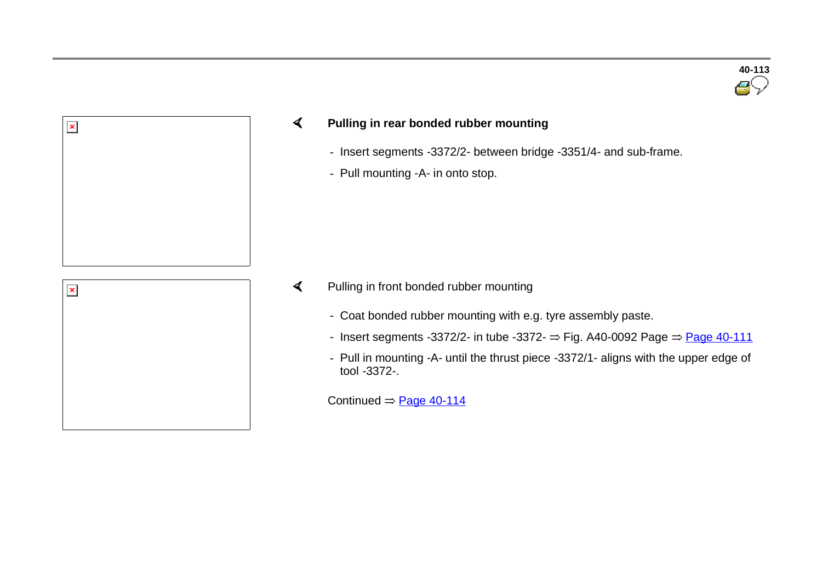

## $\prec$ **Pulling in rear bonded rubber mounting**

- Insert segments -3372/2- between bridge -3351/4- and sub-frame.
- Pull mounting -A- in onto stop.

| $\pmb{\times}$ |  |
|----------------|--|
|                |  |
|                |  |
|                |  |
|                |  |
|                |  |
|                |  |
|                |  |
|                |  |
|                |  |
|                |  |
|                |  |
|                |  |
|                |  |
|                |  |
|                |  |
|                |  |
|                |  |
|                |  |
|                |  |
|                |  |
|                |  |
|                |  |

 $\pmb{\times}$ 

- $\blacktriangleleft$  Pulling in front bonded rubber mounting
	- Coat bonded rubber mounting with e.g. tyre assembly paste.
	- Insert segments -3372/2- in tube -3372-  $\Rightarrow$  Fig. A40-0092 Page  $\Rightarrow$  Page 40-111
	- Pull in mounting -A- until the thrust piece -3372/1- aligns with the upper edge of tool -3372-.

Continued  $=$  Page 40-114